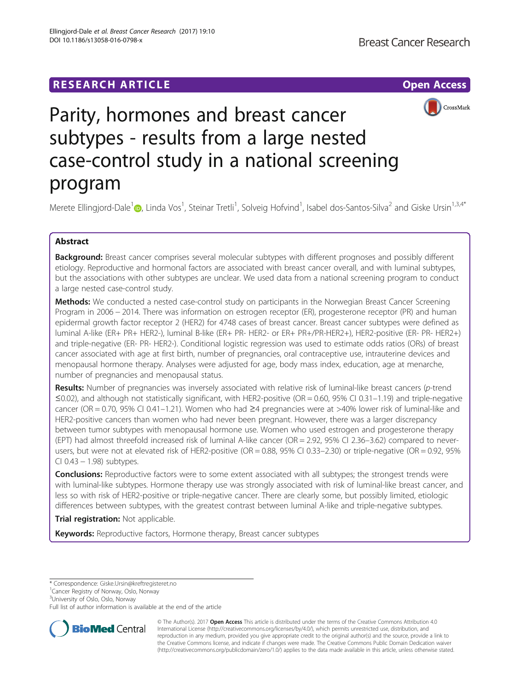# **RESEARCH ARTICLE Example 2014 12:30 The Contract of Contract ACCESS**



# Parity, hormones and breast cancer subtypes - results from a large nested case-control study in a national screening program

Merete Ellingjord-Dale<sup>[1](http://orcid.org/0000-0003-2758-0140)</sup> (D, Linda Vos<sup>1</sup>, Steinar Tretli<sup>1</sup>, Solveig Hofvind<sup>1</sup>, Isabel dos-Santos-Silva<sup>2</sup> and Giske Ursin<sup>1,3,4\*</sup>

# Abstract

Background: Breast cancer comprises several molecular subtypes with different prognoses and possibly different etiology. Reproductive and hormonal factors are associated with breast cancer overall, and with luminal subtypes, but the associations with other subtypes are unclear. We used data from a national screening program to conduct a large nested case-control study.

Methods: We conducted a nested case-control study on participants in the Norwegian Breast Cancer Screening Program in 2006 − 2014. There was information on estrogen receptor (ER), progesterone receptor (PR) and human epidermal growth factor receptor 2 (HER2) for 4748 cases of breast cancer. Breast cancer subtypes were defined as luminal A-like (ER+ PR+ HER2-), luminal B-like (ER+ PR- HER2- or ER+ PR+/PR-HER2+), HER2-positive (ER- PR- HER2+) and triple-negative (ER- PR- HER2-). Conditional logistic regression was used to estimate odds ratios (ORs) of breast cancer associated with age at first birth, number of pregnancies, oral contraceptive use, intrauterine devices and menopausal hormone therapy. Analyses were adjusted for age, body mass index, education, age at menarche, number of pregnancies and menopausal status.

Results: Number of pregnancies was inversely associated with relative risk of luminal-like breast cancers (p-trend ≤0.02), and although not statistically significant, with HER2-positive (OR = 0.60, 95% CI 0.31–1.19) and triple-negative cancer (OR = 0.70, 95% CI 0.41–1.21). Women who had ≥4 pregnancies were at >40% lower risk of luminal-like and HER2-positive cancers than women who had never been pregnant. However, there was a larger discrepancy between tumor subtypes with menopausal hormone use. Women who used estrogen and progesterone therapy (EPT) had almost threefold increased risk of luminal A-like cancer (OR = 2.92, 95% CI 2.36–3.62) compared to neverusers, but were not at elevated risk of HER2-positive (OR = 0.88, 95% CI 0.33–2.30) or triple-negative (OR = 0.92, 95% CI 0.43 − 1.98) subtypes.

**Conclusions:** Reproductive factors were to some extent associated with all subtypes; the strongest trends were with luminal-like subtypes. Hormone therapy use was strongly associated with risk of luminal-like breast cancer, and less so with risk of HER2-positive or triple-negative cancer. There are clearly some, but possibly limited, etiologic differences between subtypes, with the greatest contrast between luminal A-like and triple-negative subtypes.

Trial registration: Not applicable.

Keywords: Reproductive factors, Hormone therapy, Breast cancer subtypes

Cancer Registry of Norway, Oslo, Norway

3 University of Oslo, Oslo, Norway

Full list of author information is available at the end of the article



© The Author(s). 2017 **Open Access** This article is distributed under the terms of the Creative Commons Attribution 4.0 International License [\(http://creativecommons.org/licenses/by/4.0/](http://creativecommons.org/licenses/by/4.0/)), which permits unrestricted use, distribution, and reproduction in any medium, provided you give appropriate credit to the original author(s) and the source, provide a link to the Creative Commons license, and indicate if changes were made. The Creative Commons Public Domain Dedication waiver [\(http://creativecommons.org/publicdomain/zero/1.0/](http://creativecommons.org/publicdomain/zero/1.0/)) applies to the data made available in this article, unless otherwise stated.

<sup>\*</sup> Correspondence: [Giske.Ursin@kreftregisteret.no](mailto:Giske.Ursin@kreftregisteret.no) <sup>1</sup>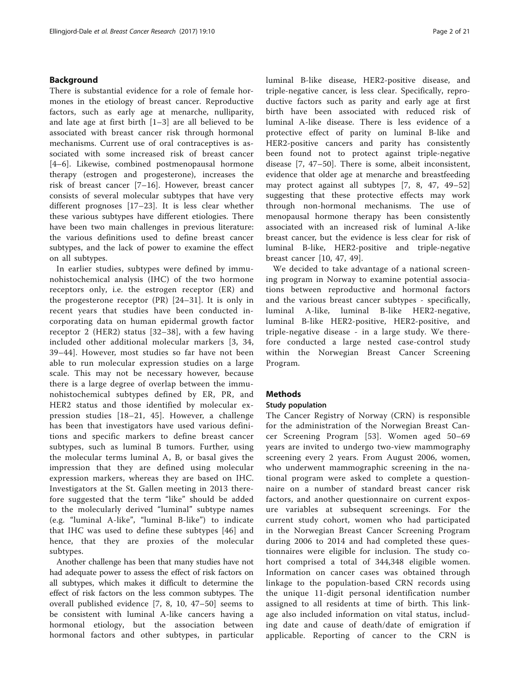# <span id="page-1-0"></span>Background

There is substantial evidence for a role of female hormones in the etiology of breast cancer. Reproductive factors, such as early age at menarche, nulliparity, and late age at first birth [[1](#page-18-0)–[3\]](#page-18-0) are all believed to be associated with breast cancer risk through hormonal mechanisms. Current use of oral contraceptives is associated with some increased risk of breast cancer [[4](#page-18-0)–[6\]](#page-18-0). Likewise, combined postmenopausal hormone therapy (estrogen and progesterone), increases the risk of breast cancer [\[7](#page-18-0)–[16](#page-18-0)]. However, breast cancer consists of several molecular subtypes that have very different prognoses [[17](#page-18-0)–[23\]](#page-18-0). It is less clear whether these various subtypes have different etiologies. There have been two main challenges in previous literature: the various definitions used to define breast cancer subtypes, and the lack of power to examine the effect on all subtypes.

In earlier studies, subtypes were defined by immunohistochemical analysis (IHC) of the two hormone receptors only, i.e. the estrogen receptor (ER) and the progesterone receptor (PR) [[24](#page-18-0)–[31](#page-19-0)]. It is only in recent years that studies have been conducted incorporating data on human epidermal growth factor receptor 2 (HER2) status [[32](#page-19-0)–[38](#page-19-0)], with a few having included other additional molecular markers [\[3](#page-18-0), [34](#page-19-0), [39](#page-19-0)–[44](#page-19-0)]. However, most studies so far have not been able to run molecular expression studies on a large scale. This may not be necessary however, because there is a large degree of overlap between the immunohistochemical subtypes defined by ER, PR, and HER2 status and those identified by molecular expression studies [\[18](#page-18-0)–[21,](#page-18-0) [45\]](#page-19-0). However, a challenge has been that investigators have used various definitions and specific markers to define breast cancer subtypes, such as luminal B tumors. Further, using the molecular terms luminal A, B, or basal gives the impression that they are defined using molecular expression markers, whereas they are based on IHC. Investigators at the St. Gallen meeting in 2013 therefore suggested that the term "like" should be added to the molecularly derived "luminal" subtype names (e.g. "luminal A-like", "luminal B-like") to indicate that IHC was used to define these subtypes [\[46\]](#page-19-0) and hence, that they are proxies of the molecular subtypes.

Another challenge has been that many studies have not had adequate power to assess the effect of risk factors on all subtypes, which makes it difficult to determine the effect of risk factors on the less common subtypes. The overall published evidence [\[7](#page-18-0), [8, 10,](#page-18-0) [47](#page-19-0)–[50\]](#page-19-0) seems to be consistent with luminal A-like cancers having a hormonal etiology, but the association between hormonal factors and other subtypes, in particular luminal B-like disease, HER2-positive disease, and triple-negative cancer, is less clear. Specifically, reproductive factors such as parity and early age at first birth have been associated with reduced risk of luminal A-like disease. There is less evidence of a protective effect of parity on luminal B-like and HER2-positive cancers and parity has consistently been found not to protect against triple-negative disease [[7,](#page-18-0) [47](#page-19-0)–[50\]](#page-19-0). There is some, albeit inconsistent, evidence that older age at menarche and breastfeeding may protect against all subtypes [[7, 8,](#page-18-0) [47, 49](#page-19-0)–[52](#page-19-0)] suggesting that these protective effects may work through non-hormonal mechanisms. The use of menopausal hormone therapy has been consistently associated with an increased risk of luminal A-like breast cancer, but the evidence is less clear for risk of luminal B-like, HER2-positive and triple-negative breast cancer [\[10](#page-18-0), [47](#page-19-0), [49\]](#page-19-0).

We decided to take advantage of a national screening program in Norway to examine potential associations between reproductive and hormonal factors and the various breast cancer subtypes - specifically, luminal A-like, luminal B-like HER2-negative, luminal B-like HER2-positive, HER2-positive, and triple-negative disease - in a large study. We therefore conducted a large nested case-control study within the Norwegian Breast Cancer Screening Program.

# **Methods**

## Study population

The Cancer Registry of Norway (CRN) is responsible for the administration of the Norwegian Breast Cancer Screening Program [\[53](#page-19-0)]. Women aged 50–69 years are invited to undergo two-view mammography screening every 2 years. From August 2006, women, who underwent mammographic screening in the national program were asked to complete a questionnaire on a number of standard breast cancer risk factors, and another questionnaire on current exposure variables at subsequent screenings. For the current study cohort, women who had participated in the Norwegian Breast Cancer Screening Program during 2006 to 2014 and had completed these questionnaires were eligible for inclusion. The study cohort comprised a total of 344,348 eligible women. Information on cancer cases was obtained through linkage to the population-based CRN records using the unique 11-digit personal identification number assigned to all residents at time of birth. This linkage also included information on vital status, including date and cause of death/date of emigration if applicable. Reporting of cancer to the CRN is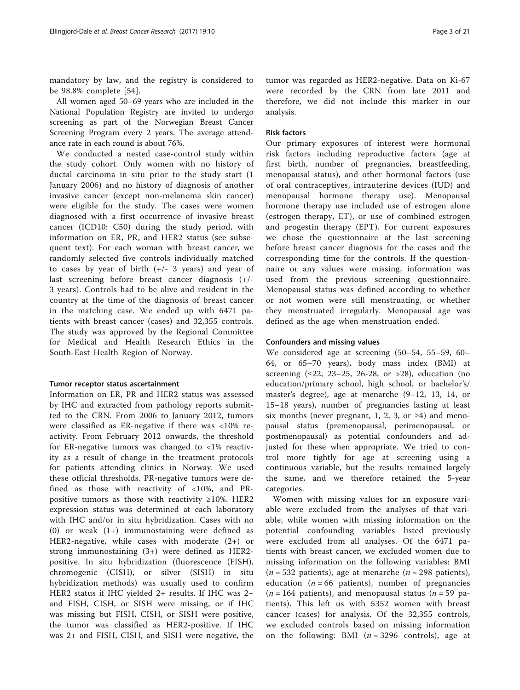mandatory by law, and the registry is considered to be 98.8% complete [\[54\]](#page-19-0).

All women aged 50–69 years who are included in the National Population Registry are invited to undergo screening as part of the Norwegian Breast Cancer Screening Program every 2 years. The average attendance rate in each round is about 76%.

We conducted a nested case-control study within the study cohort. Only women with no history of ductal carcinoma in situ prior to the study start (1 January 2006) and no history of diagnosis of another invasive cancer (except non-melanoma skin cancer) were eligible for the study. The cases were women diagnosed with a first occurrence of invasive breast cancer (ICD10: C50) during the study period, with information on ER, PR, and HER2 status (see subsequent text). For each woman with breast cancer, we randomly selected five controls individually matched to cases by year of birth  $(+/- 3$  years) and year of last screening before breast cancer diagnosis (+/- 3 years). Controls had to be alive and resident in the country at the time of the diagnosis of breast cancer in the matching case. We ended up with 6471 patients with breast cancer (cases) and 32,355 controls. The study was approved by the Regional Committee for Medical and Health Research Ethics in the South-East Health Region of Norway.

## Tumor receptor status ascertainment

Information on ER, PR and HER2 status was assessed by IHC and extracted from pathology reports submitted to the CRN. From 2006 to January 2012, tumors were classified as ER-negative if there was <10% reactivity. From February 2012 onwards, the threshold for ER-negative tumors was changed to <1% reactivity as a result of change in the treatment protocols for patients attending clinics in Norway. We used these official thresholds. PR-negative tumors were defined as those with reactivity of <10%, and PRpositive tumors as those with reactivity ≥10%. HER2 expression status was determined at each laboratory with IHC and/or in situ hybridization. Cases with no (0) or weak  $(1+)$  immunostaining were defined as HER2-negative, while cases with moderate (2+) or strong immunostaining (3+) were defined as HER2 positive. In situ hybridization (fluorescence (FISH), chromogenic (CISH), or silver (SISH) in situ hybridization methods) was usually used to confirm HER2 status if IHC yielded 2+ results. If IHC was 2+ and FISH, CISH, or SISH were missing, or if IHC was missing but FISH, CISH, or SISH were positive, the tumor was classified as HER2-positive. If IHC was 2+ and FISH, CISH, and SISH were negative, the

## Risk factors

analysis.

Our primary exposures of interest were hormonal risk factors including reproductive factors (age at first birth, number of pregnancies, breastfeeding, menopausal status), and other hormonal factors (use of oral contraceptives, intrauterine devices (IUD) and menopausal hormone therapy use). Menopausal hormone therapy use included use of estrogen alone (estrogen therapy, ET), or use of combined estrogen and progestin therapy (EPT). For current exposures we chose the questionnaire at the last screening before breast cancer diagnosis for the cases and the corresponding time for the controls. If the questionnaire or any values were missing, information was used from the previous screening questionnaire. Menopausal status was defined according to whether or not women were still menstruating, or whether they menstruated irregularly. Menopausal age was defined as the age when menstruation ended.

#### Confounders and missing values

We considered age at screening (50–54, 55–59, 60– 64, or 65–70 years), body mass index (BMI) at screening  $(≤22, 23-25, 26-28, or >28)$ , education (no education/primary school, high school, or bachelor's/ master's degree), age at menarche (9–12, 13, 14, or 15–18 years), number of pregnancies lasting at least six months (never pregnant, 1, 2, 3, or  $\geq 4$ ) and menopausal status (premenopausal, perimenopausal, or postmenopausal) as potential confounders and adjusted for these when appropriate. We tried to control more tightly for age at screening using a continuous variable, but the results remained largely the same, and we therefore retained the 5-year categories.

Women with missing values for an exposure variable were excluded from the analyses of that variable, while women with missing information on the potential confounding variables listed previously were excluded from all analyses. Of the 6471 patients with breast cancer, we excluded women due to missing information on the following variables: BMI  $(n = 532 \text{ patients})$ , age at menarche  $(n = 298 \text{ patients})$ , education ( $n = 66$  patients), number of pregnancies  $(n = 164 \text{ patients})$ , and menopausal status  $(n = 59 \text{ pa} - \text{ inches})$ tients). This left us with 5352 women with breast cancer (cases) for analysis. Of the 32,355 controls, we excluded controls based on missing information on the following: BMI  $(n = 3296 \text{ controls})$ , age at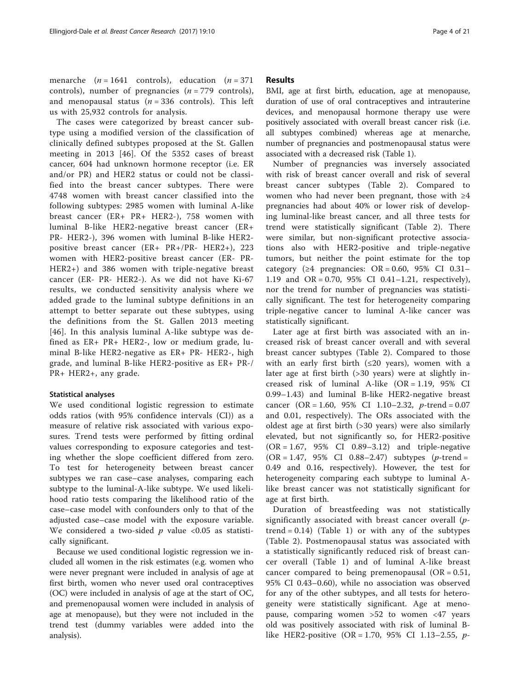menarche ( $n = 1641$  controls), education ( $n = 371$ controls), number of pregnancies  $(n = 779 \text{ controls})$ , and menopausal status ( $n = 336$  controls). This left us with 25,932 controls for analysis.

The cases were categorized by breast cancer subtype using a modified version of the classification of clinically defined subtypes proposed at the St. Gallen meeting in 2013 [[46](#page-19-0)]. Of the 5352 cases of breast cancer, 604 had unknown hormone receptor (i.e. ER and/or PR) and HER2 status or could not be classified into the breast cancer subtypes. There were 4748 women with breast cancer classified into the following subtypes: 2985 women with luminal A-like breast cancer (ER+ PR+ HER2-), 758 women with luminal B-like HER2-negative breast cancer (ER+ PR- HER2-), 396 women with luminal B-like HER2 positive breast cancer (ER+ PR+/PR- HER2+), 223 women with HER2-positive breast cancer (ER- PR-HER2+) and 386 women with triple-negative breast cancer (ER- PR- HER2-). As we did not have Ki-67 results, we conducted sensitivity analysis where we added grade to the luminal subtype definitions in an attempt to better separate out these subtypes, using the definitions from the St. Gallen 2013 meeting [[46](#page-19-0)]. In this analysis luminal A-like subtype was defined as ER+ PR+ HER2-, low or medium grade, luminal B-like HER2-negative as ER+ PR- HER2-, high grade, and luminal B-like HER2-positive as ER+ PR-/ PR+ HER2+, any grade.

## Statistical analyses

We used conditional logistic regression to estimate odds ratios (with 95% confidence intervals (CI)) as a measure of relative risk associated with various exposures. Trend tests were performed by fitting ordinal values corresponding to exposure categories and testing whether the slope coefficient differed from zero. To test for heterogeneity between breast cancer subtypes we ran case–case analyses, comparing each subtype to the luminal-A-like subtype. We used likelihood ratio tests comparing the likelihood ratio of the case–case model with confounders only to that of the adjusted case–case model with the exposure variable. We considered a two-sided  $p$  value <0.05 as statistically significant.

Because we used conditional logistic regression we included all women in the risk estimates (e.g. women who were never pregnant were included in analysis of age at first birth, women who never used oral contraceptives (OC) were included in analysis of age at the start of OC, and premenopausal women were included in analysis of age at menopause), but they were not included in the trend test (dummy variables were added into the analysis).

# Results

BMI, age at first birth, education, age at menopause, duration of use of oral contraceptives and intrauterine devices, and menopausal hormone therapy use were positively associated with overall breast cancer risk (i.e. all subtypes combined) whereas age at menarche, number of pregnancies and postmenopausal status were associated with a decreased risk (Table [1](#page-4-0)).

Number of pregnancies was inversely associated with risk of breast cancer overall and risk of several breast cancer subtypes (Table [2](#page-7-0)). Compared to women who had never been pregnant, those with ≥4 pregnancies had about 40% or lower risk of developing luminal-like breast cancer, and all three tests for trend were statistically significant (Table [2\)](#page-7-0). There were similar, but non-significant protective associations also with HER2-positive and triple-negative tumors, but neither the point estimate for the top category ( $\geq 4$  pregnancies: OR = 0.60, 95% CI 0.31-1.19 and OR = 0.70, 95% CI 0.41–1.21, respectively), nor the trend for number of pregnancies was statistically significant. The test for heterogeneity comparing triple-negative cancer to luminal A-like cancer was statistically significant.

Later age at first birth was associated with an increased risk of breast cancer overall and with several breast cancer subtypes (Table [2\)](#page-7-0). Compared to those with an early first birth ( $\leq 20$  years), women with a later age at first birth (>30 years) were at slightly increased risk of luminal A-like (OR = 1.19, 95% CI 0.99–1.43) and luminal B-like HER2-negative breast cancer (OR = 1.60, 95% CI 1.10–2.32, p-trend =  $0.07$ and 0.01, respectively). The ORs associated with the oldest age at first birth (>30 years) were also similarly elevated, but not significantly so, for HER2-positive (OR = 1.67, 95% CI 0.89–3.12) and triple-negative  $(OR = 1.47, 95\% \text{ CI} 0.88 - 2.47) \text{ subtypes } (p\text{-trend} =$ 0.49 and 0.16, respectively). However, the test for heterogeneity comparing each subtype to luminal Alike breast cancer was not statistically significant for age at first birth.

Duration of breastfeeding was not statistically significantly associated with breast cancer overall (ptrend =  $0.14$ ) (Table [1](#page-4-0)) or with any of the subtypes (Table [2\)](#page-7-0). Postmenopausal status was associated with a statistically significantly reduced risk of breast cancer overall (Table [1](#page-4-0)) and of luminal A-like breast cancer compared to being premenopausal  $(OR = 0.51,$ 95% CI 0.43–0.60), while no association was observed for any of the other subtypes, and all tests for heterogeneity were statistically significant. Age at menopause, comparing women >52 to women <47 years old was positively associated with risk of luminal Blike HER2-positive (OR = 1.70, 95% CI 1.13–2.55, p-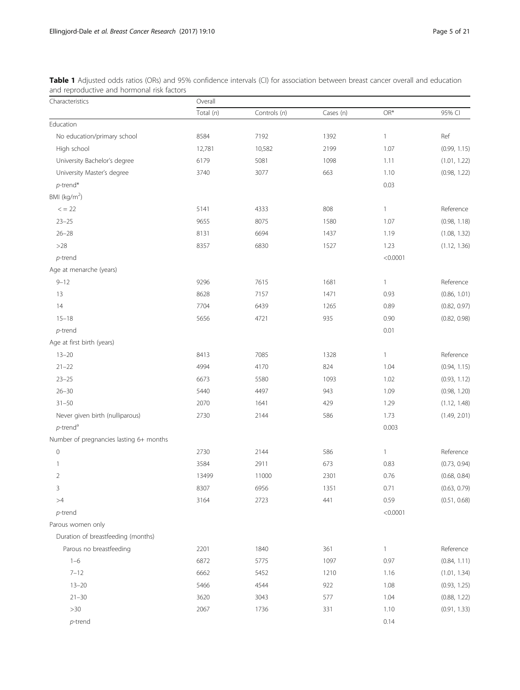| Characteristics                         | Overall     |              |           |                |              |
|-----------------------------------------|-------------|--------------|-----------|----------------|--------------|
|                                         | Total $(n)$ | Controls (n) | Cases (n) | OR*            | 95% CI       |
| Education                               |             |              |           |                |              |
| No education/primary school             | 8584        | 7192         | 1392      | $\mathbf{1}$   | Ref          |
| High school                             | 12,781      | 10,582       | 2199      | 1.07           | (0.99, 1.15) |
| University Bachelor's degree            | 6179        | 5081         | 1098      | 1.11           | (1.01, 1.22) |
| University Master's degree              | 3740        | 3077         | 663       | 1.10           | (0.98, 1.22) |
| $p$ -trend*                             |             |              |           | 0.03           |              |
| BMI (kg/m <sup>2</sup> )                |             |              |           |                |              |
| $\leq$ = 22                             | 5141        | 4333         | 808       | $\mathbf{1}$   | Reference    |
| $23 - 25$                               | 9655        | 8075         | 1580      | 1.07           | (0.98, 1.18) |
| $26 - 28$                               | 8131        | 6694         | 1437      | 1.19           | (1.08, 1.32) |
| $>\!\!28$                               | 8357        | 6830         | 1527      | 1.23           | (1.12, 1.36) |
| $p$ -trend                              |             |              |           | < 0.0001       |              |
| Age at menarche (years)                 |             |              |           |                |              |
| $9 - 12$                                | 9296        | 7615         | 1681      | $\mathbf{1}$   | Reference    |
| 13                                      | 8628        | 7157         | 1471      | 0.93           | (0.86, 1.01) |
| 14                                      | 7704        | 6439         | 1265      | 0.89           | (0.82, 0.97) |
| $15 - 18$                               | 5656        | 4721         | 935       | 0.90           | (0.82, 0.98) |
| $p$ -trend                              |             |              |           | 0.01           |              |
| Age at first birth (years)              |             |              |           |                |              |
| $13 - 20$                               | 8413        | 7085         | 1328      | $\mathbf{1}$   | Reference    |
| $21 - 22$                               | 4994        | 4170         | 824       | 1.04           | (0.94, 1.15) |
| $23 - 25$                               | 6673        | 5580         | 1093      | 1.02           | (0.93, 1.12) |
| $26 - 30$                               | 5440        | 4497         | 943       | 1.09           | (0.98, 1.20) |
| $31 - 50$                               | 2070        | 1641         | 429       | 1.29           | (1.12, 1.48) |
| Never given birth (nulliparous)         | 2730        | 2144         | 586       | 1.73           | (1.49, 2.01) |
| $p$ -trend <sup>a</sup>                 |             |              |           | 0.003          |              |
| Number of pregnancies lasting 6+ months |             |              |           |                |              |
| $\mathbf 0$                             | 2730        | 2144         | 586       | $\mathbf{1}$   | Reference    |
| 1                                       | 3584        | 2911         | 673       | 0.83           | (0.73, 0.94) |
| 2                                       | 13499       | 11000        | 2301      | 0.76           | (0.68, 0.84) |
| 3                                       | 8307        | 6956         | 1351      | 0.71           | (0.63, 0.79) |
| >4                                      | 3164        | 2723         | 441       | 0.59           | (0.51, 0.68) |
| $p$ -trend                              |             |              |           | < 0.0001       |              |
| Parous women only                       |             |              |           |                |              |
| Duration of breastfeeding (months)      |             |              |           |                |              |
| Parous no breastfeeding                 | 2201        | 1840         | 361       | $\overline{1}$ | Reference    |
| $1 - 6$                                 | 6872        | 5775         | 1097      | 0.97           | (0.84, 1.11) |
| $7 - 12$                                | 6662        | 5452         | 1210      | 1.16           | (1.01, 1.34) |
| $13 - 20$                               | 5466        | 4544         | 922       | 1.08           | (0.93, 1.25) |
| $21 - 30$                               | 3620        | 3043         | 577       | 1.04           | (0.88, 1.22) |
| $>\!\!30$                               | 2067        | 1736         | 331       | 1.10           | (0.91, 1.33) |
| $p$ -trend                              |             |              |           | 0.14           |              |

<span id="page-4-0"></span>Table 1 Adjusted odds ratios (ORs) and 95% confidence intervals (CI) for association between breast cancer overall and education and reproductive and hormonal risk factors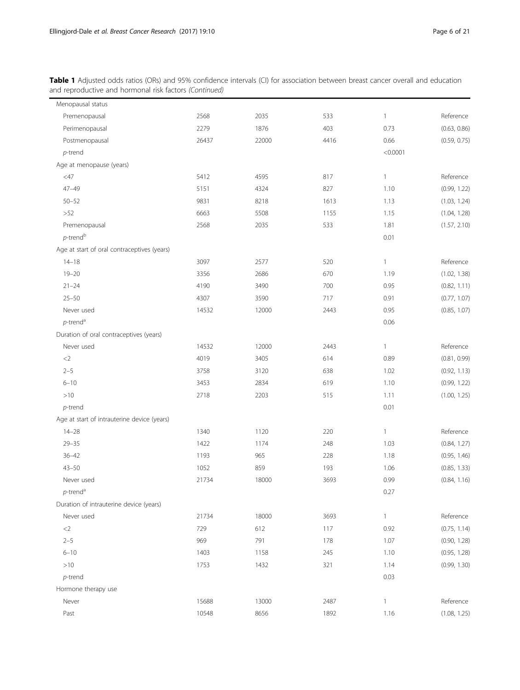| <b>Table 1</b> Adjusted odds ratios (ORs) and 95% confidence intervals (CI) for association between breast cancer overall and education |  |  |
|-----------------------------------------------------------------------------------------------------------------------------------------|--|--|
| and reproductive and hormonal risk factors (Continued)                                                                                  |  |  |

| Menopausal status                           |       |       |      |              |              |
|---------------------------------------------|-------|-------|------|--------------|--------------|
| Premenopausal                               | 2568  | 2035  | 533  | $\mathbf{1}$ | Reference    |
| Perimenopausal                              | 2279  | 1876  | 403  | 0.73         | (0.63, 0.86) |
| Postmenopausal                              | 26437 | 22000 | 4416 | 0.66         | (0.59, 0.75) |
| $p$ -trend                                  |       |       |      | < 0.0001     |              |
| Age at menopause (years)                    |       |       |      |              |              |
| $<$ 47                                      | 5412  | 4595  | 817  | $\mathbf{1}$ | Reference    |
| $47 - 49$                                   | 5151  | 4324  | 827  | 1.10         | (0.99, 1.22) |
| $50 - 52$                                   | 9831  | 8218  | 1613 | 1.13         | (1.03, 1.24) |
| $>52$                                       | 6663  | 5508  | 1155 | 1.15         | (1.04, 1.28) |
| Premenopausal                               | 2568  | 2035  | 533  | 1.81         | (1.57, 2.10) |
| $p$ -trend $b$                              |       |       |      | 0.01         |              |
| Age at start of oral contraceptives (years) |       |       |      |              |              |
| $14 - 18$                                   | 3097  | 2577  | 520  | $\mathbf{1}$ | Reference    |
| $19 - 20$                                   | 3356  | 2686  | 670  | 1.19         | (1.02, 1.38) |
| $21 - 24$                                   | 4190  | 3490  | 700  | 0.95         | (0.82, 1.11) |
| $25 - 50$                                   | 4307  | 3590  | 717  | 0.91         | (0.77, 1.07) |
| Never used                                  | 14532 | 12000 | 2443 | 0.95         | (0.85, 1.07) |
| $p$ -trend <sup>a</sup>                     |       |       |      | 0.06         |              |
| Duration of oral contraceptives (years)     |       |       |      |              |              |
| Never used                                  | 14532 | 12000 | 2443 | $\mathbf{1}$ | Reference    |
| $<$ 2                                       | 4019  | 3405  | 614  | 0.89         | (0.81, 0.99) |
| $2 - 5$                                     | 3758  | 3120  | 638  | 1.02         | (0.92, 1.13) |
| $6 - 10$                                    | 3453  | 2834  | 619  | 1.10         | (0.99, 1.22) |
| $>10$                                       | 2718  | 2203  | 515  | 1.11         | (1.00, 1.25) |
| p-trend                                     |       |       |      | 0.01         |              |
| Age at start of intrauterine device (years) |       |       |      |              |              |
| $14 - 28$                                   | 1340  | 1120  | 220  | $\mathbf{1}$ | Reference    |
| $29 - 35$                                   | 1422  | 1174  | 248  | 1.03         | (0.84, 1.27) |
| $36 - 42$                                   | 1193  | 965   | 228  | 1.18         | (0.95, 1.46) |
| $43 - 50$                                   | 1052  | 859   | 193  | 1.06         | (0.85, 1.33) |
| Never used                                  | 21734 | 18000 | 3693 | 0.99         | (0.84, 1.16) |
| $p$ -trend <sup>a</sup>                     |       |       |      | 0.27         |              |
| Duration of intrauterine device (years)     |       |       |      |              |              |
| Never used                                  | 21734 | 18000 | 3693 | $\mathbf{1}$ | Reference    |
| $<$ 2                                       | 729   | 612   | 117  | 0.92         | (0.75, 1.14) |
| $2 - 5$                                     | 969   | 791   | 178  | 1.07         | (0.90, 1.28) |
| $6 - 10$                                    | 1403  | 1158  | 245  | 1.10         | (0.95, 1.28) |
| $>10$                                       | 1753  | 1432  | 321  | 1.14         | (0.99, 1.30) |
| $p$ -trend                                  |       |       |      | 0.03         |              |
| Hormone therapy use                         |       |       |      |              |              |
| Never                                       | 15688 | 13000 | 2487 | $\mathbf{1}$ | Reference    |
| Past                                        | 10548 | 8656  | 1892 | 1.16         | (1.08, 1.25) |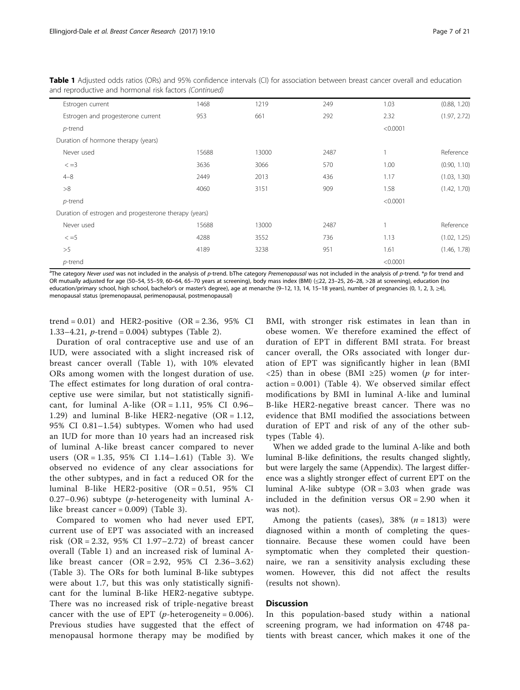| Estrogen current                                      | 1468  | 1219  | 249  | 1.03     | (0.88, 1.20) |
|-------------------------------------------------------|-------|-------|------|----------|--------------|
| Estrogen and progesterone current                     | 953   | 661   | 292  | 2.32     | (1.97, 2.72) |
| p-trend                                               |       |       |      | < 0.0001 |              |
| Duration of hormone therapy (years)                   |       |       |      |          |              |
| Never used                                            | 15688 | 13000 | 2487 |          | Reference    |
| $\leq$ = 3                                            | 3636  | 3066  | 570  | 1.00     | (0.90, 1.10) |
| $4 - 8$                                               | 2449  | 2013  | 436  | 1.17     | (1.03, 1.30) |
| >8                                                    | 4060  | 3151  | 909  | 1.58     | (1.42, 1.70) |
| p-trend                                               |       |       |      | < 0.0001 |              |
| Duration of estrogen and progesterone therapy (years) |       |       |      |          |              |
| Never used                                            | 15688 | 13000 | 2487 |          | Reference    |
| $\leq$ =5                                             | 4288  | 3552  | 736  | 1.13     | (1.02, 1.25) |
| >5                                                    | 4189  | 3238  | 951  | 1.61     | (1.46, 1.78) |
| p-trend                                               |       |       |      | < 0.0001 |              |

Table 1 Adjusted odds ratios (ORs) and 95% confidence intervals (CI) for association between breast cancer overall and education and reproductive and hormonal risk factors (Continued)

<sup>a</sup>The category Never used was not included in the analysis of p-trend. bThe category Premenopausal was not included in the analysis of p-trend. \*p for trend and OR mutually adjusted for age (50–54, 55–59, 60–64, 65–70 years at screening), body mass index (BMI) (≤22, 23–25, 26–28, >28 at screening), education (no education/primary school, high school, bachelor's or master's degree), age at menarche (9-12, 13, 14, 15-18 years), number of pregnancies (0, 1, 2, 3, ≥4), menopausal status (premenopausal, perimenopausal, postmenopausal)

trend =  $0.01$ ) and HER2-positive (OR =  $2.36$ ,  $95\%$  CI 1.33–4.21, p-trend = 0.004) subtypes (Table [2](#page-7-0)).

Duration of oral contraceptive use and use of an IUD, were associated with a slight increased risk of breast cancer overall (Table [1\)](#page-4-0), with 10% elevated ORs among women with the longest duration of use. The effect estimates for long duration of oral contraceptive use were similar, but not statistically significant, for luminal A-like  $(OR = 1.11, 95\% \text{ CI } 0.96-$ 1.29) and luminal B-like HER2-negative  $(OR = 1.12,$ 95% CI 0.81–1.54) subtypes. Women who had used an IUD for more than 10 years had an increased risk of luminal A-like breast cancer compared to never users (OR = 1.35, 95% CI 1.14–1.61) (Table [3\)](#page-9-0). We observed no evidence of any clear associations for the other subtypes, and in fact a reduced OR for the luminal B-like HER2-positive (OR = 0.51, 95% CI 0.27–0.96) subtype (p-heterogeneity with luminal Alike breast cancer =  $0.009$ ) (Table [3\)](#page-9-0).

Compared to women who had never used EPT, current use of EPT was associated with an increased risk (OR = 2.32, 95% CI 1.97–2.72) of breast cancer overall (Table [1](#page-4-0)) and an increased risk of luminal Alike breast cancer (OR = 2.92, 95% CI 2.36–3.62) (Table [3\)](#page-9-0). The ORs for both luminal B-like subtypes were about 1.7, but this was only statistically significant for the luminal B-like HER2-negative subtype. There was no increased risk of triple-negative breast cancer with the use of EPT (*p*-heterogeneity =  $0.006$ ). Previous studies have suggested that the effect of menopausal hormone therapy may be modified by

BMI, with stronger risk estimates in lean than in obese women. We therefore examined the effect of duration of EPT in different BMI strata. For breast cancer overall, the ORs associated with longer duration of EPT was significantly higher in lean (BMI  $\langle 25 \rangle$  than in obese (BMI ≥25) women (p for interaction = 0.001) (Table [4](#page-11-0)). We observed similar effect modifications by BMI in luminal A-like and luminal B-like HER2-negative breast cancer. There was no evidence that BMI modified the associations between duration of EPT and risk of any of the other subtypes (Table [4](#page-11-0)).

When we added grade to the luminal A-like and both luminal B-like definitions, the results changed slightly, but were largely the same (Appendix). The largest difference was a slightly stronger effect of current EPT on the luminal A-like subtype  $(OR = 3.03$  when grade was included in the definition versus  $OR = 2.90$  when it was not).

Among the patients (cases),  $38\%$  ( $n = 1813$ ) were diagnosed within a month of completing the questionnaire. Because these women could have been symptomatic when they completed their questionnaire, we ran a sensitivity analysis excluding these women. However, this did not affect the results (results not shown).

# **Discussion**

In this population-based study within a national screening program, we had information on 4748 patients with breast cancer, which makes it one of the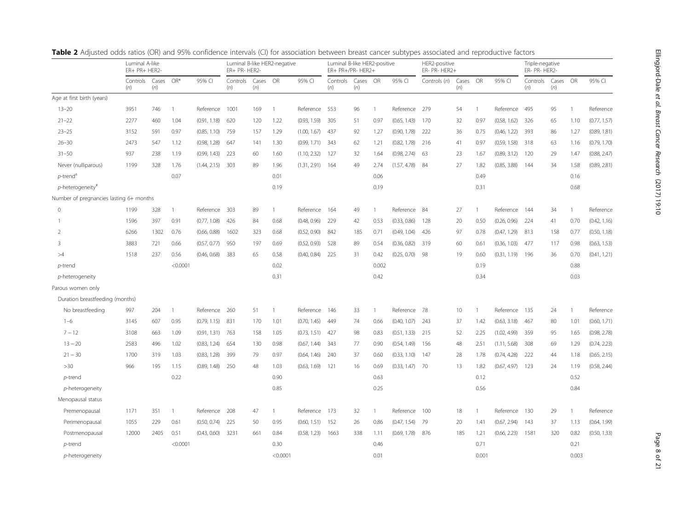|                                         | Luminal A-like<br>ER+ PR+ HER2- |              |                |               | ER+ PR- HER2-   |              | Luminal B-like HER2-negative |              | Luminal B-like HER2-positive<br>ER+ PR+/PR- HER2+ |              |                |               | HER2-positive<br>ER- PR- HER2+ |              |                |              | Triple-negative<br>ER- PR- HER2- |              |                |              |
|-----------------------------------------|---------------------------------|--------------|----------------|---------------|-----------------|--------------|------------------------------|--------------|---------------------------------------------------|--------------|----------------|---------------|--------------------------------|--------------|----------------|--------------|----------------------------------|--------------|----------------|--------------|
|                                         | Controls<br>(n)                 | Cases<br>(n) | $OR*$          | 95% CI        | Controls<br>(n) | Cases<br>(n) | <b>OR</b>                    | 95% CI       | Controls<br>(n)                                   | Cases<br>(n) | OR             | 95% CI        | Controls $(n)$                 | Cases<br>(n) | OR             | 95% CI       | Controls<br>(n)                  | Cases<br>(n) | OR             | 95% CI       |
| Age at first birth (years)              |                                 |              |                |               |                 |              |                              |              |                                                   |              |                |               |                                |              |                |              |                                  |              |                |              |
| $13 - 20$                               | 3951                            | 746          | 1              | Reference     | 1001            | 169          |                              | Reference    | 553                                               | 96           | 1              | Reference     | 279                            | 54           | $\overline{1}$ | Reference    | 495                              | 95           | $\overline{1}$ | Reference    |
| $21 - 22$                               | 2277                            | 460          | 1.04           | (0.91, 1.18)  | 620             | 120          | 1.22                         | (0.93, 1.59) | 305                                               | 51           | 0.97           | (0.65, 1.43)  | 170                            | 32           | 0.97           | (0.58, 1.62) | 326                              | 65           | 1.10           | (0.77, 1.57) |
| $23 - 25$                               | 3152                            | 591          | 0.97           | (0.85, 1.10)  | 759             | 157          | 1.29                         | (1.00, 1.67) | 437                                               | 92           | 1.27           | (0.90, 1.78)  | 222                            | 36           | 0.75           | (0.46, 1.22) | 393                              | 86           | 1.27           | (0.89, 1.81) |
| $26 - 30$                               | 2473                            | 547          | 1.12           | (0.98, 1.28)  | 647             | 141          | 1.30                         | (0.99, 1.71) | 343                                               | 62           | 1.21           | (0.82, 1.78)  | 216                            | 41           | 0.97           | (0.59, 1.58) | 318                              | 63           | 1.16           | (0.79, 1.70) |
| $31 - 50$                               | 937                             | 238          | 1.19           | (0.99, 1.43)  | 223             | 60           | 1.60                         | (1.10, 2.32) | 127                                               | 32           | 1.64           | (0.98, 2.74)  | 63                             | 23           | 1.67           | (0.89, 3.12) | 120                              | 29           | 1.47           | (0.88, 2.47) |
| Never (nulliparous)                     | 1199                            | 328          | 1.76           | (1.44, 2.15)  | 303             | 89           | 1.96                         | (1.31, 2.91) | 164                                               | 49           | 2.74           | (1.57, 4.78)  | - 84                           | 27           | 1.82           | (0.85, 3.88) | 144                              | 34           | 1.58           | (0.89, 2.81) |
| $p$ -trend <sup>a</sup>                 |                                 |              | 0.07           |               |                 |              | 0.01                         |              |                                                   |              | 0.06           |               |                                |              | 0.49           |              |                                  |              | 0.16           |              |
| $p$ -heterogeneity#                     |                                 |              |                |               |                 |              | 0.19                         |              |                                                   |              | 0.19           |               |                                |              | 0.31           |              |                                  |              | 0.68           |              |
| Number of pregnancies lasting 6+ months |                                 |              |                |               |                 |              |                              |              |                                                   |              |                |               |                                |              |                |              |                                  |              |                |              |
| $\circ$                                 | 1199                            | 328          | $\overline{1}$ | Reference     | 303             | 89           | $\mathbf{1}$                 | Reference    | 164                                               | 49           | $\overline{1}$ | Reference 84  |                                | 27           | $\overline{1}$ | Reference    | - 144                            | 34           | $\mathbf{1}$   | Reference    |
| $\mathbf{1}$                            | 1596                            | 397          | 0.91           | (0.77, 1.08)  | 426             | 84           | 0.68                         | (0.48, 0.96) | 229                                               | 42           | 0.53           | (0.33, 0.86)  | 128                            | 20           | 0.50           | (0.26, 0.96) | 224                              | 41           | 0.70           | (0.42, 1.16) |
| 2                                       | 6266                            | 1302         | 0.76           | (0.66, 0.88)  | 1602            | 323          | 0.68                         | (0.52, 0.90) | 842                                               | 185          | 0.71           | (0.49, 1.04)  | 426                            | 97           | 0.78           | (0.47, 1.29) | 813                              | 158          | 0.77           | (0.50, 1.18) |
| 3                                       | 3883                            | 721          | 0.66           | (0.57, 0.77)  | 950             | 197          | 0.69                         | (0.52, 0.93) | 528                                               | 89           | 0.54           | (0.36, 0.82)  | 319                            | 60           | 0.61           | (0.36, 1.03) | 477                              | 117          | 0.98           | (0.63, 1.53) |
| >4                                      | 1518                            | 237          | 0.56           | (0.46, 0.68)  | 383             | 65           | 0.58                         | (0.40, 0.84) | 225                                               | 31           | 0.42           | (0.25, 0.70)  | 98                             | 19           | 0.60           | (0.31, 1.19) | 196                              | 36           | 0.70           | (0.41, 1.21) |
| p-trend                                 |                                 |              | < 0.0001       |               |                 |              | 0.02                         |              |                                                   |              | 0.002          |               |                                |              | 0.19           |              |                                  |              | 0.88           |              |
| p-heterogeneity                         |                                 |              |                |               |                 |              | 0.31                         |              |                                                   |              | 0.42           |               |                                |              | 0.34           |              |                                  |              | 0.03           |              |
| Parous women only                       |                                 |              |                |               |                 |              |                              |              |                                                   |              |                |               |                                |              |                |              |                                  |              |                |              |
| Duration breastfeeding (months)         |                                 |              |                |               |                 |              |                              |              |                                                   |              |                |               |                                |              |                |              |                                  |              |                |              |
| No breastfeeding                        | 997                             | 204          | $\mathbf{1}$   | Reference     | 260             | 51           | $\overline{1}$               | Reference    | 146                                               | 33           | $\overline{1}$ | Reference 78  |                                | 10           | $\overline{1}$ | Reference    | 135                              | 24           | $\mathbf{1}$   | Reference    |
| $1 - 6$                                 | 3145                            | 607          | 0.95           | (0.79, 1.15)  | 831             | 170          | 1.01                         | (0.70, 1.45) | 449                                               | 74           | 0.66           | (0.40, 1.07)  | 243                            | 37           | 1.42           | (0.63, 3.18) | 467                              | 80           | 1.01           | (0.60, 1.71) |
| $7 - 12$                                | 3108                            | 663          | 1.09           | (0.91, 1.31)  | 763             | 158          | 1.05                         | (0.73, 1.51) | 427                                               | 98           | 0.83           | (0.51, 1.33)  | 215                            | 52           | 2.25           | (1.02, 4.99) | 359                              | 95           | 1.65           | (0.98, 2.78) |
| $13 - 20$                               | 2583                            | 496          | 1.02           | (0.83, 1.24)  | 654             | 130          | 0.98                         | (0.67, 1.44) | 343                                               | 77           | 0.90           | (0.54, 1.49)  | 156                            | 48           | 2.51           | (1.11, 5.68) | 308                              | 69           | 1.29           | (0.74, 2.23) |
| $21 - 30$                               | 1700                            | 319          | 1.03           | (0.83, 1.28)  | 399             | 79           | 0.97                         | (0.64, 1.46) | 240                                               | 37           | 0.60           | (0.33, 1.10)  | 147                            | 28           | 1.78           | (0.74, 4.28) | 222                              | 44           | 1.18           | (0.65, 2.15) |
| >30                                     | 966                             | 195          | 1.15           | (0.89, 1.48)  | 250             | 48           | 1.03                         | (0.63, 1.69) | 121                                               | 16           | 0.69           | (0.33, 1.47)  | 70                             | 13           | 1.82           | (0.67, 4.97) | 123                              | 24           | 1.19           | (0.58, 2.44) |
| p-trend                                 |                                 |              | 0.22           |               |                 |              | 0.90                         |              |                                                   |              | 0.63           |               |                                |              | 0.12           |              |                                  |              | 0.52           |              |
| p-heterogeneity                         |                                 |              |                |               |                 |              | 0.85                         |              |                                                   |              | 0.25           |               |                                |              | 0.56           |              |                                  |              | 0.84           |              |
| Menopausal status                       |                                 |              |                |               |                 |              |                              |              |                                                   |              |                |               |                                |              |                |              |                                  |              |                |              |
| Premenopausal                           | 1171                            | 351          | $\mathbf{1}$   | Reference 208 |                 | 47           |                              | Reference    | - 173                                             | 32           | $\overline{1}$ | Reference 100 |                                | 18           | $\overline{1}$ | Reference    | 130                              | 29           | $\mathbf{1}$   | Reference    |
| Perimenopausal                          | 1055                            | 229          | 0.61           | (0.50, 0.74)  | 225             | 50           | 0.95                         | (0.60, 1.51) | 152                                               | 26           | 0.86           | (0.47, 1.54)  | 79                             | 20           | 1.41           | (0.67, 2.94) | 143                              | 37           | 1.13           | (0.64, 1.99) |
| Postmenopausal                          | 12000                           | 2405         | 0.51           | (0.43, 0.60)  | 3231            | 661          | 0.84                         | (0.58, 1.23) | 1663                                              | 338          | 1.11           | (0.69, 1.78)  | 876                            | 185          | 1.21           | (0.66, 2.23) | 1581                             | 320          | 0.82           | (0.50, 1.33) |
| p-trend                                 |                                 |              | < 0.0001       |               |                 |              | 0.30                         |              |                                                   |              | 0.46           |               |                                |              | 0.71           |              |                                  |              | 0.21           |              |
| p-heterogeneity                         |                                 |              |                |               |                 |              | < 0.0001                     |              |                                                   |              | 0.01           |               |                                |              | 0.001          |              |                                  |              | 0.003          |              |

<span id="page-7-0"></span>Table 2 Adjusted odds ratios (OR) and 95% confidence intervals (CI) for association between breast cancer subtypes associated and reproductive factors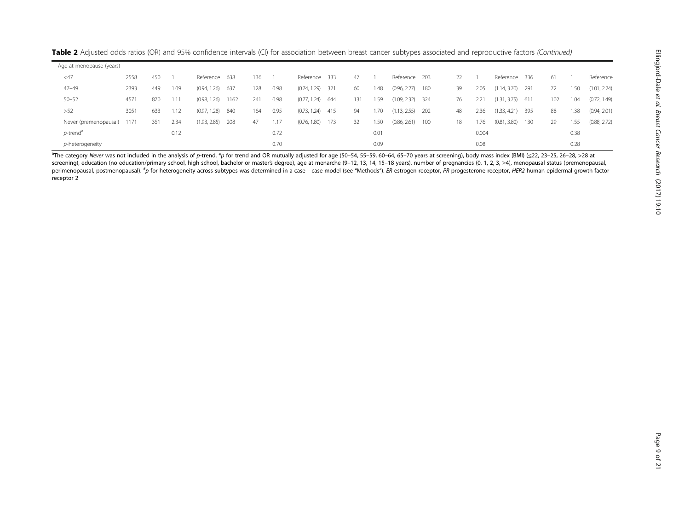Table 2 Adjusted odds ratios (OR) and 95% confidence intervals (CI) for association between breast cancer subtypes associated and reproductive factors (Continued)

| Age at menopause (years) |      |     |      |               |      |     |      |                    |     |     |      |                    |       |    |       |                    |       |     |      |              |
|--------------------------|------|-----|------|---------------|------|-----|------|--------------------|-----|-----|------|--------------------|-------|----|-------|--------------------|-------|-----|------|--------------|
| $<$ 47                   | 2558 | 450 |      | Reference 638 |      | 136 |      | Reference 333      |     | 47  |      | Reference 203      |       | 22 |       | Reference 336      |       | 61  |      | Reference    |
| $47 - 49$                | 2393 | 449 | 1.09 | (0.94, 1.26)  | 637  | 128 | 0.98 | $(0.74, 1.29)$ 321 |     | 60  | 1.48 | (0.96, 2.27)       | - 180 | 39 | 2.05  | (1.14, 3.70)       | - 291 | 72  | 1.50 | (1.01, 2.24) |
| $50 - 52$                | 4571 | 870 | 1.11 | (0.98, 1.26)  | 1162 | 241 | 0.98 | $(0.77, 1.24)$ 644 |     | 131 | 1.59 | $(1.09, 2.32)$ 324 |       | 76 | 2.21  | $(1.31, 3.75)$ 611 |       | 102 | 1.04 | (0.72, 1.49) |
| >52                      | 3051 | 633 | 1.12 | (0.97, 1.28)  | 840  | 164 | 0.95 | $(0.73, 1.24)$ 415 |     | 94  | 1.70 | (1.13, 2.55)       | 202   | 48 | 2.36  | (1.33, 4.21)       | 395   | 88  | 1.38 | (0.94, 2.01) |
| Never (premenopausal)    | 1171 | 351 | 2.34 | (1.93, 2.85)  | 208  | 47  | 1.17 | (0.76, 1.80)       | 173 | 32  | 1.50 | (0.86, 2.61)       | 100   | 18 | 1.76  | (0.81, 3.80)       | 130   | 29  | 1.55 | (0.88, 2.72) |
| $p$ -trend <sup>a</sup>  |      |     | 0.12 |               |      |     | 0.72 |                    |     |     | 0.01 |                    |       |    | 0.004 |                    |       |     | 0.38 |              |
| p-heterogeneity          |      |     |      |               |      |     | 0.70 |                    |     |     | 0.09 |                    |       |    | 0.08  |                    |       |     | 0.28 |              |

<sup>a</sup>The category Never was not included in the analysis of p-trend. \*p for trend and OR mutually adjusted for age (50–54, 55–59, 60–64, 65–70 years at screening), body mass index (BMI) (≤22, 23–25, 26–28, >28 at screening), education (no education/primary school, high school, bachelor or master's degree), age at menarche (9-12, 13, 14, 15-18 years), number of pregnancies (0, 1, 2, 3, ≥4), menopausal status (premenopausal, perimenopausal, postmenopausal). <sup>#</sup>p for heterogeneity across subtypes was determined in a case – case model (see "[Methods](#page-1-0)"). ER estrogen receptor, PR progesterone receptor, HER2 human epidermal growth factor receptor 2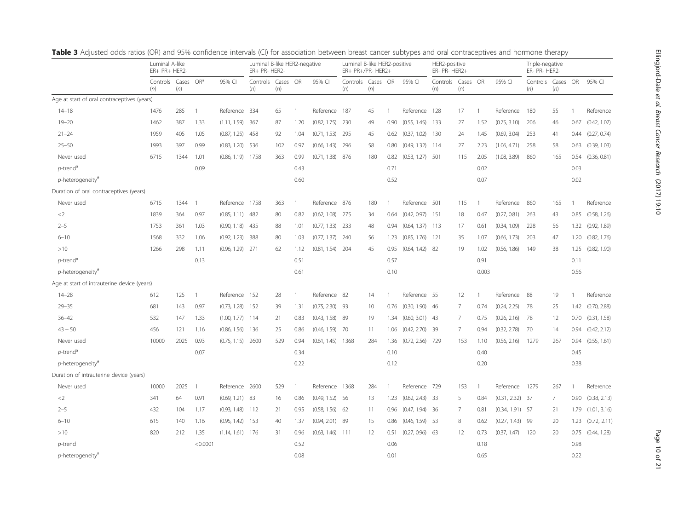|                                             | Luminal A-like<br>ER+ PR+ HER2- |              |                |                     | Luminal B-like HER2-negative<br>ER+ PR- HER2- |                 |                |                   | Luminal B-like HER2-positive<br>ER+ PR+/PR- HER2+ |                 |      |                   | HER2-positive<br>ER- PR- HER2+ |                |                |                   | Triple-negative<br>ER- PR- HER2- |                 |              |                       |
|---------------------------------------------|---------------------------------|--------------|----------------|---------------------|-----------------------------------------------|-----------------|----------------|-------------------|---------------------------------------------------|-----------------|------|-------------------|--------------------------------|----------------|----------------|-------------------|----------------------------------|-----------------|--------------|-----------------------|
|                                             | Controls<br>(n)                 | Cases<br>(n) | $OR*$          | 95% CI              | Controls<br>(n)                               | Cases OR<br>(n) |                | 95% CI            | Controls<br>(n)                                   | Cases OR<br>(n) |      | 95% CI            | Controls<br>(n)                | Cases<br>(n)   | <b>OR</b>      | 95% CI            | Controls<br>(n)                  | Cases OR<br>(n) |              | 95% CI                |
| Age at start of oral contraceptives (years) |                                 |              |                |                     |                                               |                 |                |                   |                                                   |                 |      |                   |                                |                |                |                   |                                  |                 |              |                       |
| $14 - 18$                                   | 1476                            | 285          | $\mathbf{1}$   | Reference 334       |                                               | 65              | $\mathbf{1}$   | Reference         | 187                                               | 45              |      | Reference         | 128                            | 17             | $\mathbf{1}$   | Reference         | 180                              | 55              | $\mathbf{1}$ | Reference             |
| $19 - 20$                                   | 1462                            | 387          | 1.33           | $(1.11, 1.59)$ 367  |                                               | 87              | 1.20           | (0.82, 1.75)      | 230                                               | 49              | 0.90 | (0.55, 1.45)      | 133                            | 27             | 1.52           | (0.75, 3.10)      | 206                              | 46              | 0.67         | (0.42, 1.07)          |
| $21 - 24$                                   | 1959                            | 405          | 1.05           | $(0.87, 1.25)$ 458  |                                               | 92              | 1.04           | (0.71, 1.53)      | 295                                               | 45              | 0.62 | (0.37, 1.02)      | 130                            | 24             | 1.45           | (0.69, 3.04)      | 253                              | 41              |              | $0.44$ $(0.27, 0.74)$ |
| $25 - 50$                                   | 1993                            | 397          | 0.99           | $(0.83, 1.20)$ 536  |                                               | 102             | 0.97           | (0.66, 1.43)      | 296                                               | 58              | 0.80 | (0.49, 1.32)      | 114                            | 27             | 2.23           | (1.06, 4.71)      | 258                              | 58              | 0.63         | (0.39, 1.03)          |
| Never used                                  | 6715                            | 1344         | 1.01           | (0.86, 1.19)        | 1758                                          | 363             | 0.99           | (0.71, 1.38)      | 876                                               | 180             | 0.82 | (0.53, 1.27)      | 501                            | 115            | 2.05           | (1.08, 3.89)      | 860                              | 165             | 0.54         | (0.36, 0.81)          |
| $p$ -trend <sup>a</sup>                     |                                 |              | 0.09           |                     |                                               |                 | 0.43           |                   |                                                   |                 | 0.71 |                   |                                |                | 0.02           |                   |                                  |                 | 0.03         |                       |
| p-heterogeneity#                            |                                 |              |                |                     |                                               |                 | 0.60           |                   |                                                   |                 | 0.52 |                   |                                |                | 0.07           |                   |                                  |                 | 0.02         |                       |
| Duration of oral contraceptives (years)     |                                 |              |                |                     |                                               |                 |                |                   |                                                   |                 |      |                   |                                |                |                |                   |                                  |                 |              |                       |
| Never used                                  | 6715                            | 1344         | $\mathbf{1}$   | Reference 1758      |                                               | 363             | $\overline{1}$ | Reference 876     |                                                   | 180             |      | Reference 501     |                                | 115            | $\overline{1}$ | Reference         | 860                              | 165             | $\mathbf{1}$ | Reference             |
| $<$ 2                                       | 1839                            | 364          | 0.97           | $(0.85, 1.11)$ 482  |                                               | 80              | 0.82           | (0.62, 1.08)      | 275                                               | 34              | 0.64 | (0.42, 0.97)      | 151                            | 18             | 0.47           | (0.27, 0.81)      | 263                              | 43              | 0.85         | (0.58, 1.26)          |
| $2 - 5$                                     | 1753                            | 361          | 1.03           | $(0.90, 1.18)$ 435  |                                               | 88              | 1.01           | (0.77, 1.33)      | 233                                               | 48              | 0.94 | (0.64, 1.37)      | 113                            | 17             | 0.61           | (0.34, 1.09)      | 228                              | 56              | 1.32         | (0.92, 1.89)          |
| $6 - 10$                                    | 1568                            | 332          | 1.06           | $(0.92, 1.23)$ 388  |                                               | 80              | 1.03           | (0.77, 1.37)      | 240                                               | 56              | 1.23 | (0.85, 1.76)      | 121                            | 35             | 1.07           | (0.66, 1.73)      | 203                              | 47              | 1.20         | (0.82, 1.76)          |
| >10                                         | 1266                            | 298          | 1.11           | $(0.96, 1.29)$ 271  |                                               | 62              | 1.12           | (0.81, 1.54)      | 204                                               | 45              | 0.95 | $(0.64, 1.42)$ 82 |                                | 19             | 1.02           | (0.56, 1.86)      | 149                              | 38              | 1.25         | (0.82, 1.90)          |
| $p$ -trend*                                 |                                 |              | 0.13           |                     |                                               |                 | 0.51           |                   |                                                   |                 | 0.57 |                   |                                |                | 0.91           |                   |                                  |                 | 0.11         |                       |
| $p$ -heterogeneity#                         |                                 |              |                |                     |                                               |                 | 0.61           |                   |                                                   |                 | 0.10 |                   |                                |                | 0.003          |                   |                                  |                 | 0.56         |                       |
| Age at start of intrauterine device (years) |                                 |              |                |                     |                                               |                 |                |                   |                                                   |                 |      |                   |                                |                |                |                   |                                  |                 |              |                       |
| $14 - 28$                                   | 612                             | 125          | $\mathbf{1}$   | Reference 152       |                                               | 28              | $\overline{1}$ | Reference 82      |                                                   | 14              |      | Reference 55      |                                | 12             |                | Reference         | - 88                             | 19              | $\mathbf{1}$ | Reference             |
| $29 - 35$                                   | 681                             | 143          | 0.97           | (0.73, 1.28)        | 152                                           | 39              | 1.31           | $(0.75, 2.30)$ 93 |                                                   | 10              | 0.76 | (0.30, 1.90)      | - 46                           | $\overline{7}$ | 0.74           | (0.24, 2.25)      | -78                              | 25              | 1.42         | (0.70, 2.88)          |
| $36 - 42$                                   | 532                             | 147          | 1.33           | $(1.00, 1.77)$ 114  |                                               | 21              | 0.83           | (0.43, 1.58)      | -89                                               | 19              | 1.34 | $(0.60, 3.01)$ 43 |                                | $\overline{7}$ | 0.75           | (0.26, 2.16)      | 78                               | 12              | 0.70         | (0.31, 1.58)          |
| $43 - 50$                                   | 456                             | 121          | 1.16           | (0.86, 1.56)        | 136                                           | 25              | 0.86           | $(0.46, 1.59)$ 70 |                                                   | 11              | 1.06 | (0.42, 2.70)      | - 39                           | $\overline{7}$ | 0.94           | (0.32, 2.78)      | 70                               | 14              | 0.94         | (0.42, 2.12)          |
| Never used                                  | 10000                           | 2025         | 0.93           | $(0.75, 1.15)$ 2600 |                                               | 529             | 0.94           | (0.61, 1.45)      | 1368                                              | 284             | 1.36 | (0.72, 2.56)      | 729                            | 153            | 1.10           | (0.56, 2.16)      | 1279                             | 267             | 0.94         | (0.55, 1.61)          |
| $p$ -trend <sup>a</sup>                     |                                 |              | 0.07           |                     |                                               |                 | 0.34           |                   |                                                   |                 | 0.10 |                   |                                |                | 0.40           |                   |                                  |                 | 0.45         |                       |
| $p$ -heterogeneity#                         |                                 |              |                |                     |                                               |                 | 0.22           |                   |                                                   |                 | 0.12 |                   |                                |                | 0.20           |                   |                                  |                 | 0.38         |                       |
| Duration of intrauterine device (years)     |                                 |              |                |                     |                                               |                 |                |                   |                                                   |                 |      |                   |                                |                |                |                   |                                  |                 |              |                       |
| Never used                                  | 10000                           | 2025         | $\overline{1}$ | Reference 2600      |                                               | 529             | $\overline{1}$ | Reference         | 1368                                              | 284             |      | Reference 729     |                                | 153            | $\overline{1}$ | Reference         | 1279                             | 267             | $\mathbf{1}$ | Reference             |
| $<$ 2                                       | 341                             | 64           | 0.91           | $(0.69, 1.21)$ 83   |                                               | 16              | 0.86           | $(0.49, 1.52)$ 56 |                                                   | 13              | 1.23 | (0.62, 2.43)      | 33                             | 5              | 0.84           | $(0.31, 2.32)$ 37 |                                  | 7               | 0.90         | (0.38, 2.13)          |
| $2 - 5$                                     | 432                             | 104          | 1.17           | $(0.93, 1.48)$ 112  |                                               | 21              | 0.95           | $(0.58, 1.56)$ 62 |                                                   | 11              | 0.96 | $(0.47, 1.94)$ 36 |                                | 7              | 0.81           | $(0.34, 1.91)$ 57 |                                  | 21              | 1.79         | (1.01, 3.16)          |
| $6 - 10$                                    | 615                             | 140          | 1.16           | $(0.95, 1.42)$ 153  |                                               | 40              | 1.37           | $(0.94, 2.01)$ 89 |                                                   | 15              | 0.86 | $(0.46, 1.59)$ 53 |                                | $\,8\,$        | 0.62           | $(0.27, 1.43)$ 99 |                                  | 20              | 1.23         | (0.72, 2.11)          |
| >10                                         | 820                             | 212          | 1.35           | $(1.14, 1.61)$ 176  |                                               | 31              | 0.96           | (0.63, 1.46)      | - 111                                             | 12              | 0.51 | $(0.27, 0.96)$ 63 |                                | 12             | 0.73           | (0.37, 1.47)      | 120                              | 20              |              | 0.75 (0.44, 1.28)     |
| p-trend                                     |                                 |              | < 0.0001       |                     |                                               |                 | 0.52           |                   |                                                   |                 | 0.06 |                   |                                |                | 0.18           |                   |                                  |                 | 0.98         |                       |
| p-heterogeneity#                            |                                 |              |                |                     |                                               |                 | 0.08           |                   |                                                   |                 | 0.01 |                   |                                |                | 0.65           |                   |                                  |                 | 0.22         |                       |

<span id="page-9-0"></span>Table 3 Adjusted odds ratios (OR) and 95% confidence intervals (CI) for association between breast cancer subtypes and oral contraceptives and hormone therapy<br>
University and the subsective subsective subsective subsective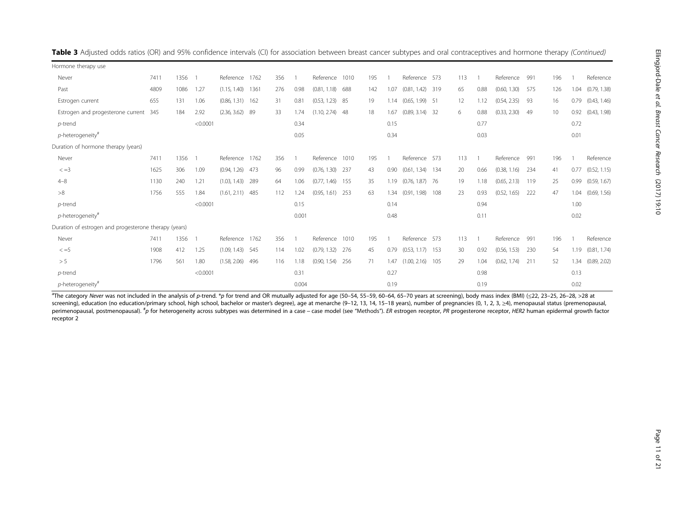| Hormone therapy use<br>Reference<br>7411<br>1356<br>1762<br>Reference<br>1010<br>195<br>Reference<br>573<br>113<br>991<br>196<br>Never<br>Reference<br>356<br>Past<br>4809<br>1086<br>1.27<br>(1.15, 1.40)<br>1361<br>(0.81, 1.18)<br>(0.81, 1.42)<br>65<br>0.88<br>(0.60, 1.30)<br>575<br>1.04<br>276<br>0.98<br>688<br>142<br>1.07<br>319<br>126<br>655<br>1.06<br>(0.86, 1.31)<br>(0.53, 1.23)<br>$(0.65, 1.99)$ 51<br>(0.54, 2.35)<br>0.79<br>131<br>162<br>31<br>0.81<br>19<br>12<br>1.12<br>93<br>Estrogen current<br>- 85<br>1.14<br>16<br>$(2.36, 3.62)$ 89<br>345<br>2.92<br>33<br>1.74<br>(1.10, 2.74)<br>18<br>$(0.89, 3.14)$ 32<br>6<br>0.88<br>(0.33, 2.30)<br>0.92<br>Estrogen and progesterone current<br>184<br>48<br>1.67<br>49<br>10<br>< 0.0001<br>0.34<br>0.15<br>0.77<br>0.72<br>p-trend<br>$p$ -heterogeneity <sup>#</sup><br>0.05<br>0.34<br>0.01<br>0.03<br>Duration of hormone therapy (years)<br>Reference<br>Reference<br>1010<br>Reference 573<br>991<br>Never<br>7411<br>1356<br>Reference<br>1762<br>356<br>195<br>113<br>196<br>$\leq -3$<br>1625<br>(0.94, 1.26)<br>(0.76, 1.30)<br>(0.38, 1.16)<br>306<br>1.09<br>473<br>96<br>0.99<br>43<br>(0.61, 1.34)<br>20<br>0.66<br>234<br>41<br>0.77<br>237<br>0.90<br>134<br>$4 - 8$<br>1130<br>240<br>(1.03, 1.43)<br>(0.77, 1.46)<br>(0.76, 1.87)<br>(0.65, 2.13)<br>0.99<br>1.21<br>289<br>64<br>1.06<br>35<br>1.19<br>19<br>1.18<br>25<br>155<br>76<br>119<br>>8<br>1756<br>555<br>23<br>1.84<br>$(1.61, 2.11)$ 485<br>112<br>1.24<br>(0.95, 1.61)<br>253<br>63<br>(0.91, 1.98)<br>0.93<br>(0.52, 1.65)<br>222<br>47<br>1.04<br>1.34<br>108<br>< 0.0001<br>0.15<br>0.14<br>0.94<br>1.00<br>p-trend<br>0.02<br>$p$ -heterogeneity#<br>0.001<br>0.48<br>0.11<br>Duration of estrogen and progesterone therapy (years)<br>Reference<br>Never<br>7411<br>1356<br>1762<br>Reference<br>1010<br>195<br>Reference 573<br>113<br>991<br>196<br>Reference<br>356<br>$\lt$ =5<br>1908<br>$(1.09, 1.43)$ 545<br>(0.79, 1.32)<br>(0.53, 1.17)<br>0.92<br>(0.56, 1.53)<br>230<br>1.19<br>412<br>1.25<br>114<br>1.02<br>276<br>45<br>0.79<br>153<br>30<br>54<br>> 5<br>1796<br>561<br>1.80<br>(1.58, 2.06)<br>1.18<br>(0.90, 1.54)<br>71<br>1.47<br>(1.00, 2.16)<br>29<br>1.04<br>(0.62, 1.74)<br>211<br>1.34<br>496<br>116<br>256<br>105<br>52<br>0.31<br>0.27<br>0.98<br>0.13<br>< 0.0001<br>p-trend |                              |  |  |  |       |  |      |  |      |  | $\sim$ |      |              |
|------------------------------------------------------------------------------------------------------------------------------------------------------------------------------------------------------------------------------------------------------------------------------------------------------------------------------------------------------------------------------------------------------------------------------------------------------------------------------------------------------------------------------------------------------------------------------------------------------------------------------------------------------------------------------------------------------------------------------------------------------------------------------------------------------------------------------------------------------------------------------------------------------------------------------------------------------------------------------------------------------------------------------------------------------------------------------------------------------------------------------------------------------------------------------------------------------------------------------------------------------------------------------------------------------------------------------------------------------------------------------------------------------------------------------------------------------------------------------------------------------------------------------------------------------------------------------------------------------------------------------------------------------------------------------------------------------------------------------------------------------------------------------------------------------------------------------------------------------------------------------------------------------------------------------------------------------------------------------------------------------------------------------------------------------------------------------------------------------------------------------------------------------------------------------------------------------------------------------------------------------------------------------------------------------------------------------------------------------------------------|------------------------------|--|--|--|-------|--|------|--|------|--|--------|------|--------------|
|                                                                                                                                                                                                                                                                                                                                                                                                                                                                                                                                                                                                                                                                                                                                                                                                                                                                                                                                                                                                                                                                                                                                                                                                                                                                                                                                                                                                                                                                                                                                                                                                                                                                                                                                                                                                                                                                                                                                                                                                                                                                                                                                                                                                                                                                                                                                                                        |                              |  |  |  |       |  |      |  |      |  |        |      |              |
|                                                                                                                                                                                                                                                                                                                                                                                                                                                                                                                                                                                                                                                                                                                                                                                                                                                                                                                                                                                                                                                                                                                                                                                                                                                                                                                                                                                                                                                                                                                                                                                                                                                                                                                                                                                                                                                                                                                                                                                                                                                                                                                                                                                                                                                                                                                                                                        |                              |  |  |  |       |  |      |  |      |  |        |      | Reference    |
|                                                                                                                                                                                                                                                                                                                                                                                                                                                                                                                                                                                                                                                                                                                                                                                                                                                                                                                                                                                                                                                                                                                                                                                                                                                                                                                                                                                                                                                                                                                                                                                                                                                                                                                                                                                                                                                                                                                                                                                                                                                                                                                                                                                                                                                                                                                                                                        |                              |  |  |  |       |  |      |  |      |  |        |      | (0.79, 1.38) |
|                                                                                                                                                                                                                                                                                                                                                                                                                                                                                                                                                                                                                                                                                                                                                                                                                                                                                                                                                                                                                                                                                                                                                                                                                                                                                                                                                                                                                                                                                                                                                                                                                                                                                                                                                                                                                                                                                                                                                                                                                                                                                                                                                                                                                                                                                                                                                                        |                              |  |  |  |       |  |      |  |      |  |        |      | (0.43, 1.46) |
|                                                                                                                                                                                                                                                                                                                                                                                                                                                                                                                                                                                                                                                                                                                                                                                                                                                                                                                                                                                                                                                                                                                                                                                                                                                                                                                                                                                                                                                                                                                                                                                                                                                                                                                                                                                                                                                                                                                                                                                                                                                                                                                                                                                                                                                                                                                                                                        |                              |  |  |  |       |  |      |  |      |  |        |      | (0.43, 1.98) |
|                                                                                                                                                                                                                                                                                                                                                                                                                                                                                                                                                                                                                                                                                                                                                                                                                                                                                                                                                                                                                                                                                                                                                                                                                                                                                                                                                                                                                                                                                                                                                                                                                                                                                                                                                                                                                                                                                                                                                                                                                                                                                                                                                                                                                                                                                                                                                                        |                              |  |  |  |       |  |      |  |      |  |        |      |              |
|                                                                                                                                                                                                                                                                                                                                                                                                                                                                                                                                                                                                                                                                                                                                                                                                                                                                                                                                                                                                                                                                                                                                                                                                                                                                                                                                                                                                                                                                                                                                                                                                                                                                                                                                                                                                                                                                                                                                                                                                                                                                                                                                                                                                                                                                                                                                                                        |                              |  |  |  |       |  |      |  |      |  |        |      |              |
|                                                                                                                                                                                                                                                                                                                                                                                                                                                                                                                                                                                                                                                                                                                                                                                                                                                                                                                                                                                                                                                                                                                                                                                                                                                                                                                                                                                                                                                                                                                                                                                                                                                                                                                                                                                                                                                                                                                                                                                                                                                                                                                                                                                                                                                                                                                                                                        |                              |  |  |  |       |  |      |  |      |  |        |      |              |
|                                                                                                                                                                                                                                                                                                                                                                                                                                                                                                                                                                                                                                                                                                                                                                                                                                                                                                                                                                                                                                                                                                                                                                                                                                                                                                                                                                                                                                                                                                                                                                                                                                                                                                                                                                                                                                                                                                                                                                                                                                                                                                                                                                                                                                                                                                                                                                        |                              |  |  |  |       |  |      |  |      |  |        |      | Reference    |
|                                                                                                                                                                                                                                                                                                                                                                                                                                                                                                                                                                                                                                                                                                                                                                                                                                                                                                                                                                                                                                                                                                                                                                                                                                                                                                                                                                                                                                                                                                                                                                                                                                                                                                                                                                                                                                                                                                                                                                                                                                                                                                                                                                                                                                                                                                                                                                        |                              |  |  |  |       |  |      |  |      |  |        |      | (0.52, 1.15) |
|                                                                                                                                                                                                                                                                                                                                                                                                                                                                                                                                                                                                                                                                                                                                                                                                                                                                                                                                                                                                                                                                                                                                                                                                                                                                                                                                                                                                                                                                                                                                                                                                                                                                                                                                                                                                                                                                                                                                                                                                                                                                                                                                                                                                                                                                                                                                                                        |                              |  |  |  |       |  |      |  |      |  |        |      | (0.59, 1.67) |
|                                                                                                                                                                                                                                                                                                                                                                                                                                                                                                                                                                                                                                                                                                                                                                                                                                                                                                                                                                                                                                                                                                                                                                                                                                                                                                                                                                                                                                                                                                                                                                                                                                                                                                                                                                                                                                                                                                                                                                                                                                                                                                                                                                                                                                                                                                                                                                        |                              |  |  |  |       |  |      |  |      |  |        |      | (0.69, 1.56) |
|                                                                                                                                                                                                                                                                                                                                                                                                                                                                                                                                                                                                                                                                                                                                                                                                                                                                                                                                                                                                                                                                                                                                                                                                                                                                                                                                                                                                                                                                                                                                                                                                                                                                                                                                                                                                                                                                                                                                                                                                                                                                                                                                                                                                                                                                                                                                                                        |                              |  |  |  |       |  |      |  |      |  |        |      |              |
|                                                                                                                                                                                                                                                                                                                                                                                                                                                                                                                                                                                                                                                                                                                                                                                                                                                                                                                                                                                                                                                                                                                                                                                                                                                                                                                                                                                                                                                                                                                                                                                                                                                                                                                                                                                                                                                                                                                                                                                                                                                                                                                                                                                                                                                                                                                                                                        |                              |  |  |  |       |  |      |  |      |  |        |      |              |
|                                                                                                                                                                                                                                                                                                                                                                                                                                                                                                                                                                                                                                                                                                                                                                                                                                                                                                                                                                                                                                                                                                                                                                                                                                                                                                                                                                                                                                                                                                                                                                                                                                                                                                                                                                                                                                                                                                                                                                                                                                                                                                                                                                                                                                                                                                                                                                        |                              |  |  |  |       |  |      |  |      |  |        |      |              |
|                                                                                                                                                                                                                                                                                                                                                                                                                                                                                                                                                                                                                                                                                                                                                                                                                                                                                                                                                                                                                                                                                                                                                                                                                                                                                                                                                                                                                                                                                                                                                                                                                                                                                                                                                                                                                                                                                                                                                                                                                                                                                                                                                                                                                                                                                                                                                                        |                              |  |  |  |       |  |      |  |      |  |        |      | Reference    |
|                                                                                                                                                                                                                                                                                                                                                                                                                                                                                                                                                                                                                                                                                                                                                                                                                                                                                                                                                                                                                                                                                                                                                                                                                                                                                                                                                                                                                                                                                                                                                                                                                                                                                                                                                                                                                                                                                                                                                                                                                                                                                                                                                                                                                                                                                                                                                                        |                              |  |  |  |       |  |      |  |      |  |        |      | (0.81, 1.74) |
|                                                                                                                                                                                                                                                                                                                                                                                                                                                                                                                                                                                                                                                                                                                                                                                                                                                                                                                                                                                                                                                                                                                                                                                                                                                                                                                                                                                                                                                                                                                                                                                                                                                                                                                                                                                                                                                                                                                                                                                                                                                                                                                                                                                                                                                                                                                                                                        |                              |  |  |  |       |  |      |  |      |  |        |      | (0.89, 2.02) |
|                                                                                                                                                                                                                                                                                                                                                                                                                                                                                                                                                                                                                                                                                                                                                                                                                                                                                                                                                                                                                                                                                                                                                                                                                                                                                                                                                                                                                                                                                                                                                                                                                                                                                                                                                                                                                                                                                                                                                                                                                                                                                                                                                                                                                                                                                                                                                                        |                              |  |  |  |       |  |      |  |      |  |        |      |              |
|                                                                                                                                                                                                                                                                                                                                                                                                                                                                                                                                                                                                                                                                                                                                                                                                                                                                                                                                                                                                                                                                                                                                                                                                                                                                                                                                                                                                                                                                                                                                                                                                                                                                                                                                                                                                                                                                                                                                                                                                                                                                                                                                                                                                                                                                                                                                                                        | p-heterogeneity <sup>#</sup> |  |  |  | 0.004 |  | 0.19 |  | 0.19 |  |        | 0.02 |              |

Table 3 Adjusted odds ratios (OR) and 95% confidence intervals (CI) for association between breast cancer subtypes and oral contraceptives and hormone therapy (Continued)

<sup>a</sup>The category Never was not included in the analysis of p-trend. \*p for trend and OR mutually adjusted for age (50–54, 55–59, 60–64, 65–70 years at screening), body mass index (BMI) (≤22, 23–25, 26–28, >28 at screening), education (no education/primary school, high school, bachelor or master's degree), age at menarche (9-12, 13, 14, 15-18 years), number of pregnancies (0, 1, 2, 3, ≥4), menopausal status (premenopausal, perimenopausal, postmenopausal). <sup>#</sup>p for heterogeneity across subtypes was determined in a case – case model (see "[Methods](#page-1-0)"). ER estrogen receptor, PR progesterone receptor, HER2 human epidermal growth factor receptor 2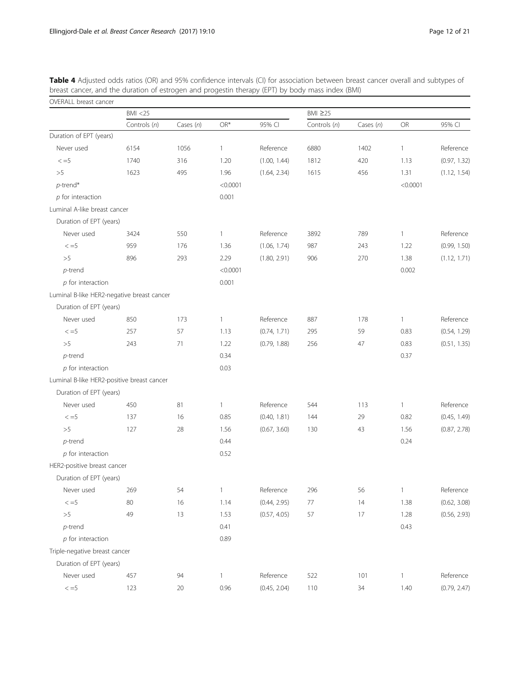<span id="page-11-0"></span>Table 4 Adjusted odds ratios (OR) and 95% confidence intervals (CI) for association between breast cancer overall and subtypes of breast cancer, and the duration of estrogen and progestin therapy (EPT) by body mass index (BMI)

|                                            | BMI < 25     |             |              |              | BMI ≥25      |             |              |              |
|--------------------------------------------|--------------|-------------|--------------|--------------|--------------|-------------|--------------|--------------|
|                                            | Controls (n) | Cases $(n)$ | OR*          | 95% CI       | Controls (n) | Cases $(n)$ | <b>OR</b>    | 95% CI       |
| Duration of EPT (years)                    |              |             |              |              |              |             |              |              |
| Never used                                 | 6154         | 1056        | $\mathbf{1}$ | Reference    | 6880         | 1402        | $\mathbf{1}$ | Reference    |
| $\lt$ =5                                   | 1740         | 316         | 1.20         | (1.00, 1.44) | 1812         | 420         | 1.13         | (0.97, 1.32) |
| >5                                         | 1623         | 495         | 1.96         | (1.64, 2.34) | 1615         | 456         | 1.31         | (1.12, 1.54) |
| $p$ -trend*                                |              |             | < 0.0001     |              |              |             | < 0.0001     |              |
| $p$ for interaction                        |              |             | 0.001        |              |              |             |              |              |
| Luminal A-like breast cancer               |              |             |              |              |              |             |              |              |
| Duration of EPT (years)                    |              |             |              |              |              |             |              |              |
| Never used                                 | 3424         | 550         | $\mathbf{1}$ | Reference    | 3892         | 789         | $\mathbf{1}$ | Reference    |
| $\leq$ =5                                  | 959          | 176         | 1.36         | (1.06, 1.74) | 987          | 243         | 1.22         | (0.99, 1.50) |
| >5                                         | 896          | 293         | 2.29         | (1.80, 2.91) | 906          | 270         | 1.38         | (1.12, 1.71) |
| p-trend                                    |              |             | < 0.0001     |              |              |             | 0.002        |              |
| $p$ for interaction                        |              |             | 0.001        |              |              |             |              |              |
| Luminal B-like HER2-negative breast cancer |              |             |              |              |              |             |              |              |
| Duration of EPT (years)                    |              |             |              |              |              |             |              |              |
| Never used                                 | 850          | 173         | $\mathbf{1}$ | Reference    | 887          | 178         | $\mathbf{1}$ | Reference    |
| $<$ $=$ $\!5$                              | 257          | 57          | 1.13         | (0.74, 1.71) | 295          | 59          | 0.83         | (0.54, 1.29) |
| $>\!5$                                     | 243          | 71          | 1.22         | (0.79, 1.88) | 256          | 47          | 0.83         | (0.51, 1.35) |
| $p$ -trend                                 |              |             | 0.34         |              |              |             | 0.37         |              |
| $p$ for interaction                        |              |             | 0.03         |              |              |             |              |              |
| Luminal B-like HER2-positive breast cancer |              |             |              |              |              |             |              |              |
| Duration of EPT (years)                    |              |             |              |              |              |             |              |              |
| Never used                                 | 450          | 81          | 1            | Reference    | 544          | 113         | $\mathbf{1}$ | Reference    |
| $\leq$ =5                                  | 137          | 16          | 0.85         | (0.40, 1.81) | 144          | 29          | 0.82         | (0.45, 1.49) |
| >5                                         | 127          | 28          | 1.56         | (0.67, 3.60) | 130          | 43          | 1.56         | (0.87, 2.78) |
| $p$ -trend                                 |              |             | 0.44         |              |              |             | 0.24         |              |
| $p$ for interaction                        |              |             | 0.52         |              |              |             |              |              |
| HER2-positive breast cancer                |              |             |              |              |              |             |              |              |
| Duration of EPT (years)                    |              |             |              |              |              |             |              |              |
| Never used                                 | 269          | 54          |              | Reference    | 296          | 56          |              | Reference    |
| $\leq$ =5                                  | 80           | 16          | 1.14         | (0.44, 2.95) | 77           | 14          | 1.38         | (0.62, 3.08) |
| $>\!5$                                     | 49           | 13          | 1.53         | (0.57, 4.05) | 57           | 17          | 1.28         | (0.56, 2.93) |
| p-trend                                    |              |             | 0.41         |              |              |             | 0.43         |              |
| $p$ for interaction                        |              |             | 0.89         |              |              |             |              |              |
| Triple-negative breast cancer              |              |             |              |              |              |             |              |              |
| Duration of EPT (years)                    |              |             |              |              |              |             |              |              |
| Never used                                 | 457          | 94          | $\mathbf{1}$ | Reference    | 522          | 101         | $\mathbf{1}$ | Reference    |
| $<$ $=$ $\!5$                              | 123          | $20\,$      | 0.96         | (0.45, 2.04) | 110          | 34          | 1.40         | (0.79, 2.47) |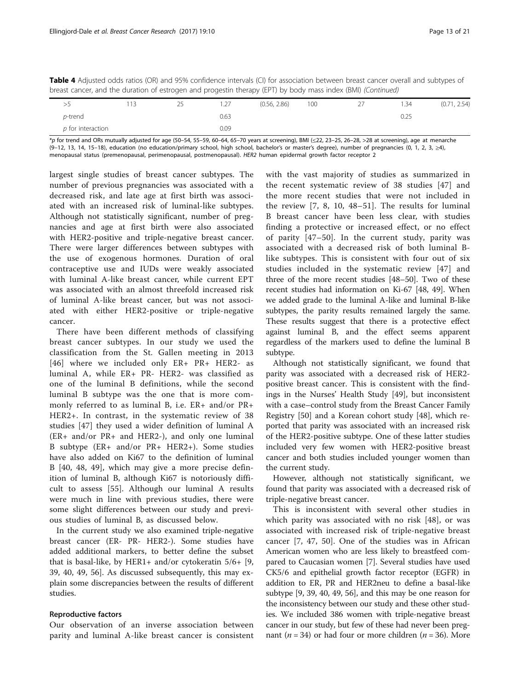Table 4 Adjusted odds ratios (OR) and 95% confidence intervals (CI) for association between breast cancer overall and subtypes of breast cancer, and the duration of estrogen and progestin therapy (EPT) by body mass index (BMI) (Continued)

|                   | $\sim$ $\sim$ | 25 | .27  | (0.56, 2.86) | 100 | <u>.</u> | 34، ا | (0.71, 2.54) |
|-------------------|---------------|----|------|--------------|-----|----------|-------|--------------|
| p-trend           |               |    | 0.63 |              |     |          | 0.25  |              |
| p for interaction |               |    | 0.09 |              |     |          |       |              |

\*p for trend and ORs mutually adjusted for age (50–54, 55–59, 60–64, 65–70 years at screening), BMI (≤22, 23–25, 26–28, >28 at screening), age at menarche  $(9-12, 13, 14, 15-18)$ , education (no education/primary school, high school, bachelor's or master's degree), number of pregnancies  $(0, 1, 2, 3, \ge 4)$ , menopausal status (premenopausal, perimenopausal, postmenopausal). HER2 human epidermal growth factor receptor 2

largest single studies of breast cancer subtypes. The number of previous pregnancies was associated with a decreased risk, and late age at first birth was associated with an increased risk of luminal-like subtypes. Although not statistically significant, number of pregnancies and age at first birth were also associated with HER2-positive and triple-negative breast cancer. There were larger differences between subtypes with the use of exogenous hormones. Duration of oral contraceptive use and IUDs were weakly associated with luminal A-like breast cancer, while current EPT was associated with an almost threefold increased risk of luminal A-like breast cancer, but was not associated with either HER2-positive or triple-negative cancer.

There have been different methods of classifying breast cancer subtypes. In our study we used the classification from the St. Gallen meeting in 2013 [[46](#page-19-0)] where we included only ER+ PR+ HER2- as luminal A, while ER+ PR- HER2- was classified as one of the luminal B definitions, while the second luminal B subtype was the one that is more commonly referred to as luminal B, i.e. ER+ and/or PR+ HER2+. In contrast, in the systematic review of 38 studies [[47\]](#page-19-0) they used a wider definition of luminal A (ER+ and/or PR+ and HER2-), and only one luminal B subtype (ER+ and/or PR+ HER2+). Some studies have also added on Ki67 to the definition of luminal B [\[40, 48](#page-19-0), [49](#page-19-0)], which may give a more precise definition of luminal B, although Ki67 is notoriously difficult to assess [\[55](#page-19-0)]. Although our luminal A results were much in line with previous studies, there were some slight differences between our study and previous studies of luminal B, as discussed below.

In the current study we also examined triple-negative breast cancer (ER- PR- HER2-). Some studies have added additional markers, to better define the subset that is basal-like, by HER1+ and/or cytokeratin 5/6+ [\[9](#page-18-0), [39, 40](#page-19-0), [49, 56\]](#page-19-0). As discussed subsequently, this may explain some discrepancies between the results of different studies.

#### Reproductive factors

Our observation of an inverse association between parity and luminal A-like breast cancer is consistent with the vast majority of studies as summarized in the recent systematic review of 38 studies [\[47\]](#page-19-0) and the more recent studies that were not included in the review [[7](#page-18-0), [8](#page-18-0), [10](#page-18-0), [48](#page-19-0)–[51\]](#page-19-0). The results for luminal B breast cancer have been less clear, with studies finding a protective or increased effect, or no effect of parity [[47](#page-19-0)–[50\]](#page-19-0). In the current study, parity was associated with a decreased risk of both luminal Blike subtypes. This is consistent with four out of six studies included in the systematic review [[47\]](#page-19-0) and three of the more recent studies [[48](#page-19-0)–[50\]](#page-19-0). Two of these recent studies had information on Ki-67 [\[48, 49\]](#page-19-0). When we added grade to the luminal A-like and luminal B-like subtypes, the parity results remained largely the same. These results suggest that there is a protective effect against luminal B, and the effect seems apparent regardless of the markers used to define the luminal B subtype.

Although not statistically significant, we found that parity was associated with a decreased risk of HER2 positive breast cancer. This is consistent with the findings in the Nurses' Health Study [\[49\]](#page-19-0), but inconsistent with a case–control study from the Breast Cancer Family Registry [\[50](#page-19-0)] and a Korean cohort study [\[48\]](#page-19-0), which reported that parity was associated with an increased risk of the HER2-positive subtype. One of these latter studies included very few women with HER2-positive breast cancer and both studies included younger women than the current study.

However, although not statistically significant, we found that parity was associated with a decreased risk of triple-negative breast cancer.

This is inconsistent with several other studies in which parity was associated with no risk [[48\]](#page-19-0), or was associated with increased risk of triple-negative breast cancer [[7,](#page-18-0) [47, 50\]](#page-19-0). One of the studies was in African American women who are less likely to breastfeed compared to Caucasian women [\[7](#page-18-0)]. Several studies have used CK5/6 and epithelial growth factor receptor (EGFR) in addition to ER, PR and HER2neu to define a basal-like subtype [[9](#page-18-0), [39](#page-19-0), [40, 49](#page-19-0), [56\]](#page-19-0), and this may be one reason for the inconsistency between our study and these other studies. We included 386 women with triple-negative breast cancer in our study, but few of these had never been pregnant ( $n = 34$ ) or had four or more children ( $n = 36$ ). More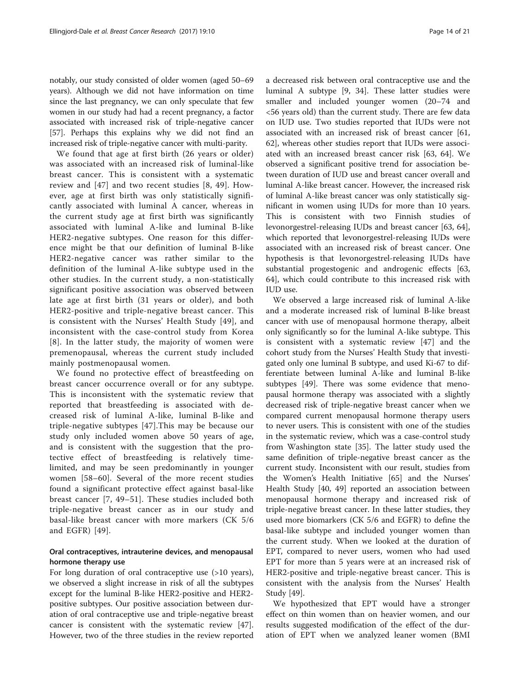notably, our study consisted of older women (aged 50–69 years). Although we did not have information on time since the last pregnancy, we can only speculate that few women in our study had had a recent pregnancy, a factor associated with increased risk of triple-negative cancer [[57](#page-19-0)]. Perhaps this explains why we did not find an increased risk of triple-negative cancer with multi-parity.

We found that age at first birth (26 years or older) was associated with an increased risk of luminal-like breast cancer. This is consistent with a systematic review and [\[47](#page-19-0)] and two recent studies [[8,](#page-18-0) [49](#page-19-0)]. However, age at first birth was only statistically significantly associated with luminal A cancer, whereas in the current study age at first birth was significantly associated with luminal A-like and luminal B-like HER2-negative subtypes. One reason for this difference might be that our definition of luminal B-like HER2-negative cancer was rather similar to the definition of the luminal A-like subtype used in the other studies. In the current study, a non-statistically significant positive association was observed between late age at first birth (31 years or older), and both HER2-positive and triple-negative breast cancer. This is consistent with the Nurses' Health Study [[49](#page-19-0)], and inconsistent with the case-control study from Korea [[8](#page-18-0)]. In the latter study, the majority of women were premenopausal, whereas the current study included mainly postmenopausal women.

We found no protective effect of breastfeeding on breast cancer occurrence overall or for any subtype. This is inconsistent with the systematic review that reported that breastfeeding is associated with decreased risk of luminal A-like, luminal B-like and triple-negative subtypes [\[47\]](#page-19-0).This may be because our study only included women above 50 years of age, and is consistent with the suggestion that the protective effect of breastfeeding is relatively timelimited, and may be seen predominantly in younger women [\[58](#page-19-0)–[60\]](#page-19-0). Several of the more recent studies found a significant protective effect against basal-like breast cancer [\[7](#page-18-0), [49](#page-19-0)–[51\]](#page-19-0). These studies included both triple-negative breast cancer as in our study and basal-like breast cancer with more markers (CK 5/6 and EGFR) [\[49](#page-19-0)].

# Oral contraceptives, intrauterine devices, and menopausal hormone therapy use

For long duration of oral contraceptive use (>10 years), we observed a slight increase in risk of all the subtypes except for the luminal B-like HER2-positive and HER2 positive subtypes. Our positive association between duration of oral contraceptive use and triple-negative breast cancer is consistent with the systematic review [\[47](#page-19-0)]. However, two of the three studies in the review reported a decreased risk between oral contraceptive use and the luminal A subtype [[9](#page-18-0), [34](#page-19-0)]. These latter studies were smaller and included younger women (20–74 and <56 years old) than the current study. There are few data on IUD use. Two studies reported that IUDs were not associated with an increased risk of breast cancer [[61](#page-19-0), [62\]](#page-19-0), whereas other studies report that IUDs were associated with an increased breast cancer risk [\[63](#page-19-0), [64\]](#page-19-0). We observed a significant positive trend for association between duration of IUD use and breast cancer overall and luminal A-like breast cancer. However, the increased risk of luminal A-like breast cancer was only statistically significant in women using IUDs for more than 10 years. This is consistent with two Finnish studies of levonorgestrel-releasing IUDs and breast cancer [\[63](#page-19-0), [64](#page-19-0)], which reported that levonorgestrel-releasing IUDs were associated with an increased risk of breast cancer. One hypothesis is that levonorgestrel-releasing IUDs have substantial progestogenic and androgenic effects [[63](#page-19-0), [64\]](#page-19-0), which could contribute to this increased risk with IUD use.

We observed a large increased risk of luminal A-like and a moderate increased risk of luminal B-like breast cancer with use of menopausal hormone therapy, albeit only significantly so for the luminal A-like subtype. This is consistent with a systematic review [[47\]](#page-19-0) and the cohort study from the Nurses' Health Study that investigated only one luminal B subtype, and used Ki-67 to differentiate between luminal A-like and luminal B-like subtypes [[49\]](#page-19-0). There was some evidence that menopausal hormone therapy was associated with a slightly decreased risk of triple-negative breast cancer when we compared current menopausal hormone therapy users to never users. This is consistent with one of the studies in the systematic review, which was a case-control study from Washington state [[35\]](#page-19-0). The latter study used the same definition of triple-negative breast cancer as the current study. Inconsistent with our result, studies from the Women's Health Initiative [\[65\]](#page-20-0) and the Nurses' Health Study [[40](#page-19-0), [49\]](#page-19-0) reported an association between menopausal hormone therapy and increased risk of triple-negative breast cancer. In these latter studies, they used more biomarkers (CK 5/6 and EGFR) to define the basal-like subtype and included younger women than the current study. When we looked at the duration of EPT, compared to never users, women who had used EPT for more than 5 years were at an increased risk of HER2-positive and triple-negative breast cancer. This is consistent with the analysis from the Nurses' Health Study [[49\]](#page-19-0).

We hypothesized that EPT would have a stronger effect on thin women than on heavier women, and our results suggested modification of the effect of the duration of EPT when we analyzed leaner women (BMI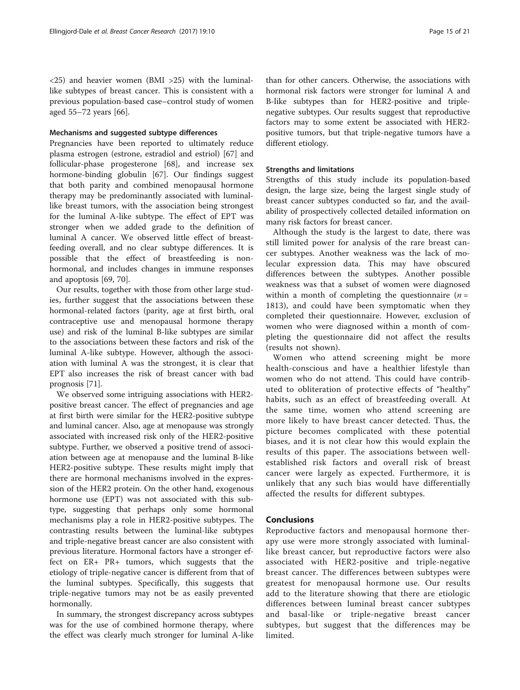$\langle 25 \rangle$  and heavier women (BMI  $>25$ ) with the luminallike subtypes of breast cancer. This is consistent with a previous population-based case–control study of women aged 55–72 years [[66](#page-20-0)].

#### Mechanisms and suggested subtype differences

Pregnancies have been reported to ultimately reduce plasma estrogen (estrone, estradiol and estriol) [[67\]](#page-20-0) and follicular-phase progesterone [[68\]](#page-20-0), and increase sex hormone-binding globulin [[67](#page-20-0)]. Our findings suggest that both parity and combined menopausal hormone therapy may be predominantly associated with luminallike breast tumors, with the association being strongest for the luminal A-like subtype. The effect of EPT was stronger when we added grade to the definition of luminal A cancer. We observed little effect of breastfeeding overall, and no clear subtype differences. It is possible that the effect of breastfeeding is nonhormonal, and includes changes in immune responses and apoptosis [\[69, 70\]](#page-20-0).

Our results, together with those from other large studies, further suggest that the associations between these hormonal-related factors (parity, age at first birth, oral contraceptive use and menopausal hormone therapy use) and risk of the luminal B-like subtypes are similar to the associations between these factors and risk of the luminal A-like subtype. However, although the association with luminal A was the strongest, it is clear that EPT also increases the risk of breast cancer with bad prognosis [\[71\]](#page-20-0).

We observed some intriguing associations with HER2 positive breast cancer. The effect of pregnancies and age at first birth were similar for the HER2-positive subtype and luminal cancer. Also, age at menopause was strongly associated with increased risk only of the HER2-positive subtype. Further, we observed a positive trend of association between age at menopause and the luminal B-like HER2-positive subtype. These results might imply that there are hormonal mechanisms involved in the expression of the HER2 protein. On the other hand, exogenous hormone use (EPT) was not associated with this subtype, suggesting that perhaps only some hormonal mechanisms play a role in HER2-positive subtypes. The contrasting results between the luminal-like subtypes and triple-negative breast cancer are also consistent with previous literature. Hormonal factors have a stronger effect on ER+ PR+ tumors, which suggests that the etiology of triple-negative cancer is different from that of the luminal subtypes. Specifically, this suggests that triple-negative tumors may not be as easily prevented hormonally.

In summary, the strongest discrepancy across subtypes was for the use of combined hormone therapy, where the effect was clearly much stronger for luminal A-like

than for other cancers. Otherwise, the associations with hormonal risk factors were stronger for luminal A and B-like subtypes than for HER2-positive and triplenegative subtypes. Our results suggest that reproductive factors may to some extent be associated with HER2 positive tumors, but that triple-negative tumors have a different etiology.

#### Strengths and limitations

Strengths of this study include its population-based design, the large size, being the largest single study of breast cancer subtypes conducted so far, and the availability of prospectively collected detailed information on many risk factors for breast cancer.

Although the study is the largest to date, there was still limited power for analysis of the rare breast cancer subtypes. Another weakness was the lack of molecular expression data. This may have obscured differences between the subtypes. Another possible weakness was that a subset of women were diagnosed within a month of completing the questionnaire  $(n =$ 1813), and could have been symptomatic when they completed their questionnaire. However, exclusion of women who were diagnosed within a month of completing the questionnaire did not affect the results (results not shown).

Women who attend screening might be more health-conscious and have a healthier lifestyle than women who do not attend. This could have contributed to obliteration of protective effects of "healthy" habits, such as an effect of breastfeeding overall. At the same time, women who attend screening are more likely to have breast cancer detected. Thus, the picture becomes complicated with these potential biases, and it is not clear how this would explain the results of this paper. The associations between wellestablished risk factors and overall risk of breast cancer were largely as expected. Furthermore, it is unlikely that any such bias would have differentially affected the results for different subtypes.

# Conclusions

Reproductive factors and menopausal hormone therapy use were more strongly associated with luminallike breast cancer, but reproductive factors were also associated with HER2-positive and triple-negative breast cancer. The differences between subtypes were greatest for menopausal hormone use. Our results add to the literature showing that there are etiologic differences between luminal breast cancer subtypes and basal-like or triple-negative breast cancer subtypes, but suggest that the differences may be limited.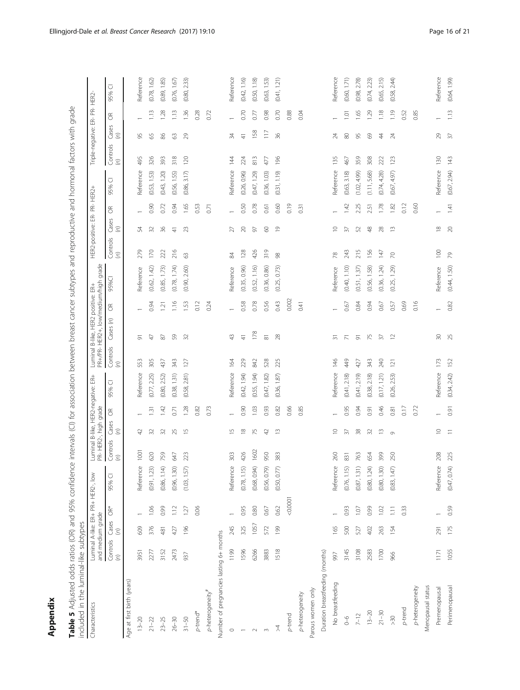| 5<br>ŕ |
|--------|
|        |
|        |
|        |
|        |
|        |
| ٠      |

| Table 5 Adjusted odds ratios (OR) and 95% confidence<br>included in the luminal-like subtypes |                                 |                     |                  |                                    |                                  |                     |                                                                                                         |                                                             |                                                |                                 |                | intervals (CI) for association between breast cancer subtypes and reproductive and hormonal factors with grade |                        |                     |          |              |                            |                          |                      |                    |
|-----------------------------------------------------------------------------------------------|---------------------------------|---------------------|------------------|------------------------------------|----------------------------------|---------------------|---------------------------------------------------------------------------------------------------------|-------------------------------------------------------------|------------------------------------------------|---------------------------------|----------------|----------------------------------------------------------------------------------------------------------------|------------------------|---------------------|----------|--------------|----------------------------|--------------------------|----------------------|--------------------|
| Characteristics                                                                               |                                 | and medium grade    |                  | Luminal A-like: ER+ PR+ HER2-, low |                                  |                     |                                                                                                         | Luminal B-like, HER2-negative: ER+<br>PR- HER2-, high grade |                                                |                                 |                | Luminal B-like, HER2 positive: ER+<br>PR+/PR- HER2+, low/medium/high grade                                     |                        | HER2-positive: ER-  | PR-HER2+ |              | Triple-negative:           |                          | $PR - 1$<br>ģ        | HER <sub>2</sub> - |
|                                                                                               | Controls<br>$\stackrel{(n)}{0}$ | $\frac{Cases}{(n)}$ | ÖŘ*              | ○<br>95%                           | Controls<br>$\widehat{\epsilon}$ | $\frac{Cases}{(n)}$ | $\mathfrak{S}% _{T}=\mathfrak{S}_{T}\!\left( a,b\right) ,\ \mathfrak{S}_{T}=C_{T}\!\left( a,b\right) ,$ | Ū<br>95%                                                    | Controls<br>$\stackrel{(n)}{\scriptstyle (n)}$ | $\widehat{\mathbb{S}}$<br>Cases | $\mathfrak{S}$ | 95%C                                                                                                           | $\frac{1}{2}$ Controls | $\frac{Cases}{(n)}$ | E        | ū<br>95%     | Controls<br>$\binom{n}{k}$ | Cases<br>(r)             | $\widetilde{\sigma}$ | Ū<br>95%           |
| Age at first birth (years)                                                                    |                                 |                     |                  |                                    |                                  |                     |                                                                                                         |                                                             |                                                |                                 |                |                                                                                                                |                        |                     |          |              |                            |                          |                      |                    |
| $13 - 20$                                                                                     | 3951                            | 609                 |                  | Reference                          | 1001                             | ₽                   |                                                                                                         | Reference                                                   | 553                                            | 능                               |                | Reference                                                                                                      | 279                    | 24                  |          | Reference    | 495                        | 95                       |                      | Reference          |
| $21 - 22$                                                                                     | 2277                            | 376                 | 1.06             | (0.91, 1.23)                       | 620                              | 32                  | $\overline{31}$                                                                                         | (0.77, 2.25)                                                | 305                                            | A)                              | 0.94           | (1.42)<br>(0.62,                                                                                               | 170                    | $\approx$           | 0.90     | (0.53, 1.53) | 326                        | 65                       | 1.13                 | (0.78, 1.62)       |
| $23 - 25$                                                                                     | 3152                            | 481                 | 0.99             | (0.86, 1.14)                       | 759                              | $\approx$           | 1.42                                                                                                    | (2.52)<br>(0.80,                                            | 437                                            | ৯                               | 121            | 1.73)<br>(0.85,                                                                                                | 222                    | $\%$                | 0.72     | (0.43, 120)  | 393                        | 86                       | 1.28                 | (0.89, 1.85)       |
| $26 - 30$                                                                                     | 2473                            | 427                 | 1.12             | (0.96, 1.30)                       | 647                              | 25                  | 0.71                                                                                                    | 1.31)<br>(0.38,                                             | 343                                            | 59                              | 1.16           | 1.74)<br>(0.78,                                                                                                | 216                    | $\overline{+}$      | 0.94     | (0.56, 1.55) | 318                        | $\mathbb{S}^3$           | 1.13                 | (0.76, 1.67)       |
| $31 - 50$                                                                                     | 937                             | 196                 | 1.27             | (1.03, 157)                        | 223                              | $\frac{5}{1}$       | 1.28                                                                                                    | (0.58, 2.81)                                                | 127                                            | $\overline{\omega}$             | 1.53           | (0.90, 2.60)                                                                                                   | $\Im$                  | 23                  | 1.65     | (0.86, 3.17) | 120                        | 29                       | 1.36                 | (0.80, 2.33)       |
| p-trend*                                                                                      |                                 |                     | 0.06             |                                    |                                  |                     | 0.82                                                                                                    |                                                             |                                                |                                 | 0.12           |                                                                                                                |                        |                     | 0.53     |              |                            |                          | 0.28                 |                    |
| p-heterogeneity <sup>#</sup>                                                                  |                                 |                     |                  |                                    |                                  |                     | 0.73                                                                                                    |                                                             |                                                |                                 | 0.24           |                                                                                                                |                        |                     | 0.71     |              |                            |                          | 0.72                 |                    |
| Number of pregnancies lasting 6+ months                                                       |                                 |                     |                  |                                    |                                  |                     |                                                                                                         |                                                             |                                                |                                 |                |                                                                                                                |                        |                     |          |              |                            |                          |                      |                    |
| $\circ$                                                                                       | 1199                            | 245                 |                  | Reference                          | 303                              | $\overline{5}$      |                                                                                                         | Reference                                                   | 164                                            | $\frac{3}{4}$                   |                | Reference                                                                                                      | $\mathfrak{A}$         | 27                  |          | Reference    | $\frac{14}{3}$             | $\frac{34}{3}$           |                      | Reference          |
|                                                                                               | 1596                            | 325                 | 0.95             | (0.78, 1.15)                       | 426                              | $\approx$           | 0.90                                                                                                    | (0.42, 1.94)                                                | 229                                            | $\overline{+}$                  | 0.58           | (0.35, 0.96)                                                                                                   | 128                    | $\geqslant$         | 0.50     | (0.26, 0.96) | 224                        | $\frac{4}{3}$            | 0.70                 | (0.42, 1.16)       |
|                                                                                               | 6266                            | 1057                | 0.80             | (0.68, 0.94)                       | 1602                             | 75                  | 1.03                                                                                                    | (0.55, 1.94)                                                | 842                                            | 178                             | 0.78           | (0.52, 1.16)                                                                                                   | 426                    | 97                  | 0.78     | (0.47, 1.29) | 813                        | 158                      | 0.77                 | (0.50, 1.18)       |
| $\sim$                                                                                        | 3883                            | 572                 | 0.67             | (0.56, 0.79)                       | 950                              | $\sqrt{4}$          | 0.93                                                                                                    | (0.47, 1.82)                                                | 528                                            | $\overline{\infty}$             | 0.56           | 0.86)<br>(0.36,                                                                                                | 319                    | $\infty$            | 0.61     | (0.36, 1.03) | 477                        | $\frac{1}{2}$            | 0.98                 | 1.53)<br>(0.63)    |
| ₹                                                                                             | 1518                            | 199                 | 0.62             | (0.50, 0.77)                       | 383                              | $\tilde{=}$         | 0.82                                                                                                    | (0.36, 1.87)                                                | 225                                            | 28                              | 0.43           | 0.73)<br>(0.25,                                                                                                | $88$                   | $\overline{0}$      | 0.60     | (0.31, 1.19) | 196                        | 36                       | 0.70                 | (0.41, 1.21)       |
| p-trend                                                                                       |                                 |                     | 100000           |                                    |                                  |                     | 0.66                                                                                                    |                                                             |                                                |                                 | 0.002          |                                                                                                                |                        |                     | 0.19     |              |                            |                          | 0.88                 |                    |
| p-heterogeneity                                                                               |                                 |                     |                  |                                    |                                  |                     | 0.85                                                                                                    |                                                             |                                                |                                 | 0.41           |                                                                                                                |                        |                     | 0.31     |              |                            |                          | 0.04                 |                    |
| Parous women only                                                                             |                                 |                     |                  |                                    |                                  |                     |                                                                                                         |                                                             |                                                |                                 |                |                                                                                                                |                        |                     |          |              |                            |                          |                      |                    |
| Duration breastfeeding (months)                                                               |                                 |                     |                  |                                    |                                  |                     |                                                                                                         |                                                             |                                                |                                 |                |                                                                                                                |                        |                     |          |              |                            |                          |                      |                    |
| No breastfeeding                                                                              | 997                             | 165                 |                  | Reference                          | 260                              | $\supseteq$         |                                                                                                         | Reference                                                   | 146                                            | ᆕ                               |                | Reference                                                                                                      | 78                     | $\supseteq$         |          | Reference    | 135                        | 24                       |                      | Reference          |
| $6 - 6$                                                                                       | 3145                            | 500                 | 0.93             | (0.76, 1.15)                       | 831                              | $\sqrt{2}$          | 0.95                                                                                                    | (0.41, 2.18)                                                | 449                                            | π                               | 0.67           | 1.10<br>(0.40,                                                                                                 | 243                    | $\mathfrak{Z}$      | 1.42     | (0.63, 3.18) | 467                        | $\otimes$                | 1.01                 | (0.60, 1.71)       |
| $7 - 12$                                                                                      | 3108                            | 527                 | 1.07             | (0.87, 1.31)                       | 763                              | 38                  | 0.94                                                                                                    | (0.41, 2.19)                                                | 427                                            | 5                               | 0.84           | (0.51, 1.37)                                                                                                   | 215                    | 52                  | 2.25     | (1.02, 4.99) | 359                        | 95                       | 1.65                 | (0.98, 2.78)       |
| $13 - 20$                                                                                     | 2583                            | 402                 | 0.99             | (0.80, 124)                        | 654                              | 32                  | 0.91                                                                                                    | (0.38, 2.18)                                                | 343                                            | 75                              | 0.94           | 1.58)<br>(0.56,                                                                                                | 156                    | $\frac{8}{3}$       | 2.51     | (1.11, 5.68) | 308                        | 69                       | 1.29                 | (0.74, 2.23)       |
| $21 - 30$                                                                                     | 1700                            | 263                 | 1.02             | (0.80, 1.30)                       | 399                              | $\frac{3}{2}$       | 0.46                                                                                                    | (0.17, 1.21)                                                | 240                                            | $\approx$                       | 0.67           | 1.24<br>(0.36,                                                                                                 | $\overline{147}$       | $28$                | 1.78     | (0.74, 4.28) | 222                        | $\frac{4}{3}$            | 1.18                 | 2.15<br>(0.65,     |
| $>30$                                                                                         | 966                             | 154                 | $\overline{1}$ . | (0.83, 1.47)                       | 250                              | $\circ$             | 0.81                                                                                                    | (0.26, 2.53)                                                | 121                                            | $\approx$                       | 0.57           | 1.29)<br>(0.25,                                                                                                | $\approx$              | $\tilde{=}$         | 1.82     | (0.67, 4.97) | 123                        | $\overline{A}$           | 1.19                 | (0.58, 2.44)       |
| p-trend                                                                                       |                                 |                     | 0.33             |                                    |                                  |                     | 0.17                                                                                                    |                                                             |                                                |                                 | 0.69           |                                                                                                                |                        |                     | 0.12     |              |                            |                          | 0.52                 |                    |
| p-heterogeneity                                                                               |                                 |                     |                  |                                    |                                  |                     | 0.72                                                                                                    |                                                             |                                                |                                 | 0.16           |                                                                                                                |                        |                     | 0.60     |              |                            |                          | 0.85                 |                    |
| Menopausal status                                                                             |                                 |                     |                  |                                    |                                  |                     |                                                                                                         |                                                             |                                                |                                 |                |                                                                                                                |                        |                     |          |              |                            |                          |                      |                    |
| Premenopausal                                                                                 | 1171                            | 291                 |                  | Reference                          | 208                              | ₽                   |                                                                                                         | Reference                                                   | 173                                            | $\approx$                       |                | Reference                                                                                                      | 100                    | $\frac{8}{10}$      |          | Reference    | 130                        | 29                       |                      | Reference          |
| Perimenopausal                                                                                | 1055                            | 175                 | 0.59             | (0.47, 0.74)                       | 225                              | Ξ                   | 0.91                                                                                                    | (034, 242)                                                  | 152                                            | 25                              | 0.82           | (0.44, 1.50)                                                                                                   | 79                     | $\gtrsim$           | 1.41     | (0.67, 2.94) | 143                        | $\overline{\mathcal{E}}$ | 1.13                 | (0.64, 1.99)       |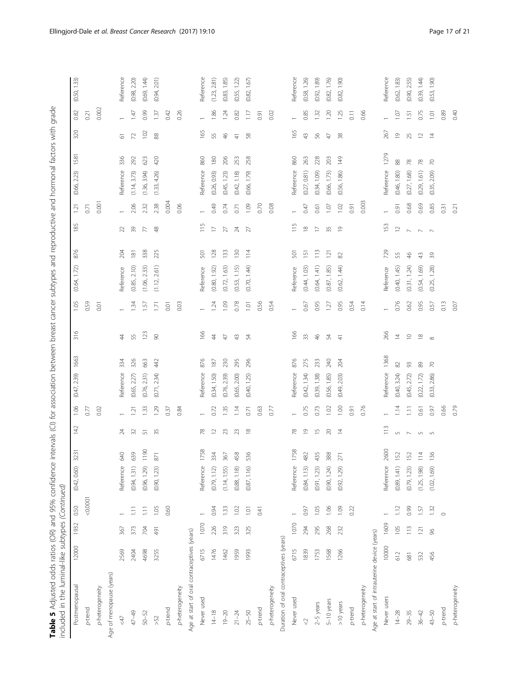| included in the luminal-like subtypes (Continued) |       |      |                 |                                |                                   |                           |                |                   |                    |                  |                            |                          |                           |      |                         |                    |                |
|---------------------------------------------------|-------|------|-----------------|--------------------------------|-----------------------------------|---------------------------|----------------|-------------------|--------------------|------------------|----------------------------|--------------------------|---------------------------|------|-------------------------|--------------------|----------------|
| Postmenopausal                                    | 12000 | 1932 | 0.50            | 3231<br>(0.42, 0.60)           | 1.06<br>142                       | 1663<br>(0.47, 2.39)      | 316            | 1.05              | (0.64, 1.72)       | 876              | 185                        | 1.21                     | 1581<br>(0.66, 2.23)      |      | 320                     | 0.82               | (0.50, 1.33)   |
| p-trend                                           |       |      | 0.0001          |                                | 0.77                              |                           |                | 0.59              |                    |                  |                            | 0.71                     |                           |      |                         | 0.21               |                |
| p-heterogeneity                                   |       |      |                 |                                | 0.02                              |                           |                | 0.01              |                    |                  |                            | 0.001                    |                           |      |                         | 0.002              |                |
| Age of menopause (years)                          |       |      |                 |                                |                                   |                           |                |                   |                    |                  |                            |                          |                           |      |                         |                    |                |
| $\leq 47$                                         | 2569  | 367  |                 | 640<br>Reference               | $\approx$                         | 334<br>Reference          | $\overline{4}$ |                   | Reference          | 204              | $\overline{2}$             |                          | 336<br>Reference          |      | 5                       |                    | Reference      |
| $47 - 49$                                         | 2404  | 373  | $\Xi$           | 639<br>(0.94, 1.31)            | 1.21<br>32                        | 326<br>(0.65, 2.27)       | 55             | 134               | (0.85, 2.10)       | $\overline{181}$ | $\mathcal{S}^{\mathbb{C}}$ | 2.06                     | 292<br>(1.14, 3.73)       |      | 72                      | 1.47               | (0.98, 2.20)   |
| $50 - 52$                                         | 4698  | 704  | $\overline{11}$ | 1190<br>(0.96, 1.29)           | 1.33<br>51                        | 663<br>(0.76, 2.31)       | 123            | 1.57              | (1.06, 2.33)       | 338              | 77                         | 2.32                     | 623<br>(1.36, 3.94)       |      | 102                     | 0.99               | (0.69, 1.44)   |
| $>52$                                             | 3255  | 491  | 1.05            | 871<br>(0.90, 1.23)            | 1.29<br>55                        | 442<br>(0.71, 2.34)       | $\infty$       | 171               | 2.61)<br>(1.12, 1) | 225              | $\frac{8}{3}$              | 2.38                     | 420<br>426)<br>(1.33,     |      | 88                      | 1.37               | (0.94, 2.01)   |
| $p$ -trend                                        |       |      | 0.60            |                                | 0.37                              |                           |                | 0.01              |                    |                  |                            | 0.004                    |                           |      |                         | 0.42               |                |
| p-heterogeneity                                   |       |      |                 |                                | 0.84                              |                           |                | 0.03              |                    |                  |                            | 0.06                     |                           |      |                         | 0.26               |                |
| Age at start of oral contraceptives (years)       |       |      |                 |                                |                                   |                           |                |                   |                    |                  |                            |                          |                           |      |                         |                    |                |
| Never used                                        | 6715  | 1070 |                 | 1758<br>Reference              | $\approx$                         | 876<br>Reference          | 166            |                   | Reference          | 501              | 115                        |                          | 860<br>Reference          |      | 165                     |                    | Reference      |
| $14 - 18$                                         | 1476  | 226  | 0.94            | 334<br>(0.79, 1.12)            | 0.72<br>$\approx$                 | 187<br>(0.34, 1.50)       | $\frac{4}{3}$  | 1.24              | (0.80, 1.92)       | 128              | $\overline{1}$             | 0.49                     | 180<br>(0.26, 0.93)       |      | 55                      | 1.86               | (1.23, 2.81)   |
| $19 - 20$                                         | 1462  | 319  | 1.33            | 367<br>(1.14, 1.55)            | 1.35<br>23                        | 230<br>(0.76, 2.39)       | $\overline{+}$ | 1.09              | (0.72, 1.63)       | 133              | 27                         | 0.74                     | 206<br>(0.45, 1.23)       |      | $\frac{4}{5}$           | 1.24               | (0.83, 1.85)   |
| $21 - 24$                                         | 1959  | 323  | 1.02            | 458<br>(0.88, 1.18)            | 1.14<br>23                        | 295<br>(0.65, 2.00)       | $\frac{1}{4}$  | 0.78              | (0.53, 1.15)       | 130              | $\overline{24}$            | 0.71                     | 253<br>(0.42, 1.18)       |      | $\overline{+}$          | 0.82               | (0.55, 1.22)   |
| $25 - 50$                                         | 1993  | 325  | $1.01$          | 536<br>(0.87, 1.16)            | 0.71<br>$\approx$                 | 296<br>(0.40, 1.25)       | 54             | $\overline{1.01}$ | (0.70, 1.44)       | 114              | 27                         | 1.09                     | 258<br>(0.66, 1.79)       |      | 58                      | 1.17               | (0.82, 1.67)   |
| p-trend                                           |       |      | 0.41            |                                | 0.63                              |                           |                | 0.56              |                    |                  |                            | 0.70                     |                           |      |                         | 0.91               |                |
| p-heterogeneity                                   |       |      |                 |                                | 0.77                              |                           |                | 0.54              |                    |                  |                            | 0.08                     |                           |      |                         | 0.02               |                |
| Duration of oral contraceptives (years)           |       |      |                 |                                |                                   |                           |                |                   |                    |                  |                            |                          |                           |      |                         |                    |                |
| Never used                                        | 6715  | 1070 |                 | 1758<br>Reference              | 78                                | 876<br>Reference          | 166            |                   | Reference          | 501              | $\frac{5}{1}$              |                          | 860<br>Reference          |      | 165                     |                    | Reference      |
| $\heartsuit$                                      | 1839  | 294  | 0.97            | 482<br>(0.84, 1.13)            | 0.75<br>$\overline{6}$            | 275<br>(0.42, 1.34)       | $33\,$         | 0.67              | (0.44, 1.03)       | 151              | $\frac{8}{10}$             | 0.47                     | 263<br>(0.27, 0.81)       |      | $43$                    | 0.85               | (0.58, 1.26)   |
| $2-5$ years                                       | 1753  | 295  | 1.05            | 435<br>(0.91, 1.23)            | 0.73<br>$\overline{5}$            | 233<br>(0.39, 1.38)       | $\frac{4}{6}$  | 0.95              | (0.64, 1.41)       | 113              | $\Box$                     | 0.61                     | 228<br>(0.34, 1.09)       |      | $56\,$                  | 1.32               | (0.92, 1.89)   |
| 5-10 years                                        | 1568  | 268  | 1.06            | 388<br>(0.90, 1.24)            | 1.02<br>$\approx$                 | 240<br>(0.56, 1.85)       | 54             | 1.27              | (0.87, 1.85)       | 121              | 35                         | 1.07                     | 203<br>1.73<br>(0.66)     |      | $\overline{4}$          | 1.20               | 1.76<br>(0.82, |
| $>10$ years                                       | 1266  | 232  | 1.09            | 271<br>(0.92, 1.29)            | 1.00<br>$\overline{4}$            | 204<br>(0.49, 2.03)       | $\pm$          | 0.95              | 1.44<br>(0.62,     | 82               | $\overline{0}$             | 1.02                     | 149<br>(0.56, 1.86)       |      | 38                      | 1.25               | (90)<br>(0.82, |
| $p$ -trend                                        |       |      | 0.22            |                                | 0.91                              |                           |                | 0.54              |                    |                  |                            | 0.91                     |                           |      |                         | 0.11               |                |
| p-heterogeneity                                   |       |      |                 |                                | 0.76                              |                           |                | 0.14              |                    |                  |                            | 0.003                    |                           |      |                         | 0.66               |                |
| Age at start of intrauterine device (years)       |       |      |                 |                                |                                   |                           |                |                   |                    |                  |                            |                          |                           |      |                         |                    |                |
| Never users                                       | 10000 | 1609 |                 | 2600<br>Reference              | 113                               | 1368<br>Reference         | 266            |                   | Reference          | 729              | 153                        | $\overline{\phantom{0}}$ | Reference                 | 1279 | 267                     |                    | Reference      |
| $14 - 28$                                         | 612   | 105  | 1.12            | 152<br>(0.89, 1.41)            | 1.14<br>S                         | 82<br>(0.40, 3.24)        | $\overline{4}$ | 0.76              | (0.40, 1.45)       | 55               | $\supseteq$                | 0.91                     | $_{88}$<br>(0.46, 1.80)   |      | $\overline{\mathrm{o}}$ | 1.07               | (0.62, 1.83)   |
| $29 - 35$                                         | 681   | 113  | 0.99            | 152<br>(0.79, 1.23)            | $\Xi$<br>$\overline{\phantom{a}}$ | 3<br>(0.45, 2.72)         | $\supseteq$    | 0.62              | (0.31, 1.24)       | $\frac{4}{5}$    | $\triangleright$           | 0.68                     | $78$<br>(0.27, 1.68)      |      | 25                      | 1.51               | (0.90, 2.55)   |
| $36 - 42$                                         | 532   | 121  | 1.57            | $\frac{14}{3}$<br>(1.25, 1.98) | 0.61<br>$\sqrt{2}$                | 89<br>(0.22, 1.72)        | $\approx$      | 0.95              | (0.54, 1.69)       | $\frac{3}{4}$    | $\mathord{\sim}$           | 0.69                     | $78$<br>(0.29, 1.61)      |      | $\approx$               | 0.75               | (0.39, 1.44)   |
| $43 - 50$                                         | 456   | $\%$ | 1.32            | 136<br>(1.02, 1.69)            | 0.97<br>$\sqrt{2}$                | $\approx$<br>(0.33, 2.86) | $\infty$       | 0.57              | (0.25, 1.28)       | 39               | $\overline{\phantom{a}}$   | 0.85                     | $\gtrsim$<br>(0.35, 2.09) |      | $\overline{4}$          | $\overline{1}$ .01 | (0.53, 1.90)   |
| p-trend                                           |       |      | $\circ$         |                                | 0.66                              |                           |                | 0.13              |                    |                  |                            | $\overline{0.31}$        |                           |      |                         | 0.89               |                |
| p-heterogeneity                                   |       |      |                 |                                | 0.79                              |                           |                | 0.07              |                    |                  |                            | 0.21                     |                           |      |                         | 0.40               |                |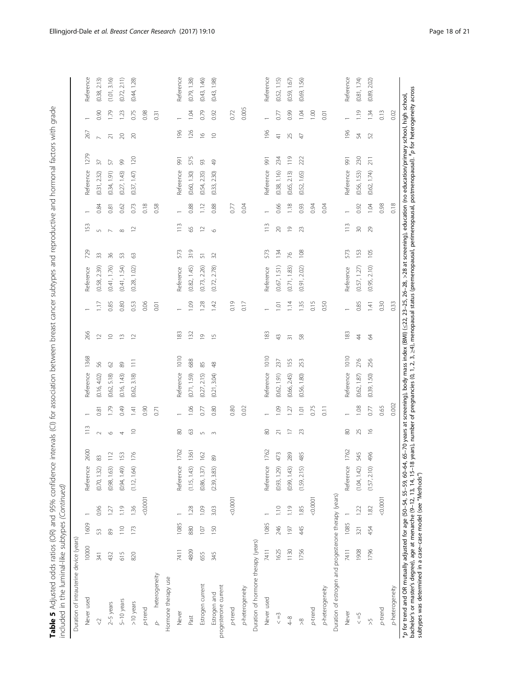| ה היה הל<br>55                                                                                                                                       |                                                                                                                                                                                                                                                        |  |
|------------------------------------------------------------------------------------------------------------------------------------------------------|--------------------------------------------------------------------------------------------------------------------------------------------------------------------------------------------------------------------------------------------------------|--|
| contidence intervals (CI) for association between breast cancer subtypes and reproductive and hormonal factors witr<br>į<br>こうしょう<br>$\tilde{\zeta}$ | j<br>3<br>ĝ<br>י<br>י<br>デーシング フランピュール                                                                                                                                                                                                                 |  |
| CO GO JO SCIEN E 4 di itali de E<br>) - ייני ייני ייני ייני ייני ייני י                                                                              | ), JOURNED USE TO SAFE TO SAFE OF THE SAFE OF TO SAFE OF THE SAFE OF THE SAFE OF THE SAFE OF THE SAFE OF THE SAFE OF THE SAFE OF THE SAFE OF THE SAFE OF THE SAFE OF THE SAFE OF THE SAFE OF THE SAFE OF THE SAFE OF THE SAFE<br>3<br>)<br>)<br>)<br>) |  |

| Duration of intrauterine device (years)                                                                                                                                                                   |       |                  |        |              |                           |               |                  |                                                                                                                                                                                                                                                                                                           |                |      |                 |                 |                  |      |              |               |                |               |                 |
|-----------------------------------------------------------------------------------------------------------------------------------------------------------------------------------------------------------|-------|------------------|--------|--------------|---------------------------|---------------|------------------|-----------------------------------------------------------------------------------------------------------------------------------------------------------------------------------------------------------------------------------------------------------------------------------------------------------|----------------|------|-----------------|-----------------|------------------|------|--------------|---------------|----------------|---------------|-----------------|
| Never used                                                                                                                                                                                                | 10000 | 1609             |        | Reference    | 2600                      | $\frac{3}{2}$ |                  | 1368<br>Reference                                                                                                                                                                                                                                                                                         | 266            |      | Reference       | 729             | 153              |      | Reference    | 1279          | 267            |               | Reference       |
| $\heartsuit$                                                                                                                                                                                              | 341   | 53               | 0.96   | (0.70, 1.32) | $\stackrel{\sim}{\infty}$ | $\sim$        | 0.81             | 95<br>(0.16, 4.02)                                                                                                                                                                                                                                                                                        | $\bar{C}$      | Ξ    | 2.39)<br>(0.58, | 33              | $\sqrt{2}$       | 0.84 | (0.31, 2.32) | 57            |                | 0.90          | 2.13<br>(0.38)  |
| $2-5$ years                                                                                                                                                                                               | 432   | 89               | 1.27   | (0.98, 1.63) | 112                       | $\circ$       | 1.79             | 62<br>(0.62, 5.18)                                                                                                                                                                                                                                                                                        | $\supseteq$    | 0.85 | (0.41, 1.76)    | 36              | $\mathord{\sim}$ | 0.81 | (0.34, 1.91) | 57            | $\overline{c}$ | 1.79          | (1.01, 3.16)    |
| 5-10 years                                                                                                                                                                                                | 615   | 110              | 1.19   | (0.94, 1.49) | 153                       | 4             | 0.49             | 89<br>(0.16, 1.43)                                                                                                                                                                                                                                                                                        | $\tilde{=}$    | 0.80 | (0.41, 1.54)    | 53              | $\infty$         | 0.62 | (0.27, 1.43) | 99            | $\approx$      | 1.23          | 2.11)<br>(0.72) |
| $>10$ years                                                                                                                                                                                               | 820   | 173              | 1.36   | (1.12, 1.64) | 176                       | $\supseteq$   | $\overline{141}$ | $\equiv$<br>(0.62, 3.18)                                                                                                                                                                                                                                                                                  | $\supseteq$    | 0.53 | 1.02)<br>(0.28, | $\degree$       | $\approx$        | 0.73 | (0.37, 1.47) | 120           | $\approx$      | 0.75          | (0.44, 1.28)    |
| p-trend                                                                                                                                                                                                   |       |                  | 0.0001 |              |                           |               | 0.90             |                                                                                                                                                                                                                                                                                                           |                | 0.06 |                 |                 |                  | 0.18 |              |               |                | 0.98          |                 |
| heterogeneity<br>$\overline{\rho}$                                                                                                                                                                        |       |                  |        |              |                           |               | 0.71             |                                                                                                                                                                                                                                                                                                           |                | 0.01 |                 |                 |                  | 0.58 |              |               |                | 0.31          |                 |
| Hormone therapy use                                                                                                                                                                                       |       |                  |        |              |                           |               |                  |                                                                                                                                                                                                                                                                                                           |                |      |                 |                 |                  |      |              |               |                |               |                 |
| Never                                                                                                                                                                                                     | 7411  | 1085             |        | Reference    | 1762                      | 80            |                  | 1010<br>Reference                                                                                                                                                                                                                                                                                         | 183            |      | Reference       | 573             | 113              |      | Reference    | 991           | 196            |               | Reference       |
| Past                                                                                                                                                                                                      | 4809  | 880              | 1.28   | (1.15, 1.43) | 1361                      | 3             | $\infty$         | 688<br>(0.71, 1.59)                                                                                                                                                                                                                                                                                       | 132            | 1.09 | (0.82, 1.45)    | 319             | 59               | 0.88 | (0.60, 1.30) | 575           | 126            | 1.04          | (0.79, 1.38)    |
| Estrogen current                                                                                                                                                                                          | 655   | 107              | 1.09   | (0.86, 1.37) | 162                       | $\sqrt{2}$    | 0.77             | 85<br>(0.27, 2.15)                                                                                                                                                                                                                                                                                        | $\supseteq$    | 1.28 | 2.26)<br>(0.73, | $\overline{5}$  | $\overline{C}$   | 112  | (0.54, 2.35) | 93            | $\frac{6}{2}$  | 0.79          | (0.43, 1.46)    |
| progesterone current<br>Estrogen and                                                                                                                                                                      | 345   | 150              | 3.03   | (2.39, 3.83) | 89                        | $\infty$      | 0.80             | $\frac{8}{3}$<br>(0.21, 3.04)                                                                                                                                                                                                                                                                             | $\frac{1}{2}$  | 1.42 | 2.78)<br>(0.72, | 32              | $\circ$          | 0.88 | (0.33, 2.30) | $\frac{1}{2}$ | $\supseteq$    | 0.92          | (0.43, 1.98)    |
| p-trend                                                                                                                                                                                                   |       |                  | 0.0001 |              |                           |               | 0.80             |                                                                                                                                                                                                                                                                                                           |                | 0.19 |                 |                 |                  | 0.77 |              |               |                | 0.72          |                 |
| p-heterogeneity                                                                                                                                                                                           |       |                  |        |              |                           |               | 0.02             |                                                                                                                                                                                                                                                                                                           |                | 0.17 |                 |                 |                  | 0.04 |              |               |                | 0.005         |                 |
| Duration of hormone therapy (years)                                                                                                                                                                       |       |                  |        |              |                           |               |                  |                                                                                                                                                                                                                                                                                                           |                |      |                 |                 |                  |      |              |               |                |               |                 |
| Never used                                                                                                                                                                                                | 7411  | 1085             |        | Reference    | 1762                      | 80            |                  | 1010<br>Reference                                                                                                                                                                                                                                                                                         | 183            |      | Reference       | 573             | 113              |      | Reference    | <b>166</b>    | 196            |               | Reference       |
| $\zeta\!=\!3$                                                                                                                                                                                             | 1625  | 246              | 1.10   | (0.93, 1.29) | 473                       | ಸ             | $\odot$          | 237<br>(0.62, 1.91)                                                                                                                                                                                                                                                                                       | 43             | 1.01 | (0.67, 1.51)    | 134             | $\gtrsim$        | 0.66 | (0.38, 1.16) | 234           | $\frac{4}{3}$  | 0.77          | (0.52, 1.15)    |
| $4 - 8$                                                                                                                                                                                                   | 1130  | 197              | 1.19   | (0.99, 1.43) | 289                       | Þ             | 27               | 155<br>(0.66, 2.45)                                                                                                                                                                                                                                                                                       | $\overline{5}$ | 1.14 | (0.71, 1.83)    | $\overline{76}$ | $\overline{0}$   | 1.18 | (0.65, 2.13) | 119           | 25             | 0.99          | (0.59, 1.67)    |
| $\stackrel{\circ}{\scriptstyle\wedge}$                                                                                                                                                                    | 1756  | 445              | 1.85   | (1.59, 2.15) | 485                       | 23            | $\overline{a}$   | 253<br>(0.56, 1.80)                                                                                                                                                                                                                                                                                       | 58             | 1.35 | (0.91, 2.02)    | 108             | 23               | 0.93 | (0.52, 1.65) | 222           | $\frac{4}{7}$  | 1.04          | (0.69, 1.56)    |
| p-trend                                                                                                                                                                                                   |       |                  | 0.0001 |              |                           |               | 0.75             |                                                                                                                                                                                                                                                                                                           |                | 0.15 |                 |                 |                  | 0.94 |              |               |                | 1,00          |                 |
| p-heterogeneity                                                                                                                                                                                           |       |                  |        |              |                           |               | $\overline{0}$ . |                                                                                                                                                                                                                                                                                                           |                | 0.50 |                 |                 |                  | 0.04 |              |               |                | 0.01          |                 |
| Duration of estrogen and progesterone therapy (years)                                                                                                                                                     |       |                  |        |              |                           |               |                  |                                                                                                                                                                                                                                                                                                           |                |      |                 |                 |                  |      |              |               |                |               |                 |
| Never                                                                                                                                                                                                     | 7411  | 1085             |        | Reference    | 1762                      | 80            |                  | 1010<br>Reference                                                                                                                                                                                                                                                                                         | 183            |      | Reference       | 573             | 113              |      | Reference    | <b>166</b>    | 196            |               | Reference       |
| $\zeta = 5$                                                                                                                                                                                               | 1908  | $\overline{321}$ | 122    | (1.04, 1.42) | 545                       | 25            | $\overline{0}$   | 276<br>(0.62, 1.87)                                                                                                                                                                                                                                                                                       | $\ddot{4}$     | 0.85 | (0.57, 1.27)    | 153             | $\approx$        | 0.92 | (0.56, 1.53) | 230           | 54             | $\frac{1}{2}$ | (0.81, 1.74)    |
| $\stackrel{\mathsf{L}}{\wedge}$                                                                                                                                                                           | 1796  | 454              | $1.82$ | (1.57, 2.10) | 496                       | $\frac{6}{2}$ | 0.77             | 256<br>(0.39, 1.50)                                                                                                                                                                                                                                                                                       | $\mathcal{R}$  | 141  | 2.10<br>(0.95,  | 105             | 29               | 1.04 | (0.62, 1.74) | 211           | 52             | 1.34          | (0.89, 2.02)    |
| p-trend                                                                                                                                                                                                   |       |                  | 0.0001 |              |                           |               | 0.65             |                                                                                                                                                                                                                                                                                                           |                | 0.30 |                 |                 |                  | 0.98 |              |               |                | 0.13          |                 |
| p-heterogeneity                                                                                                                                                                                           |       |                  |        |              |                           |               | 0.002            |                                                                                                                                                                                                                                                                                                           |                | 0.33 |                 |                 |                  | 0.18 |              |               |                | 0.02          |                 |
| bachelor's or master's degree), age at menarche (9-12, 13, 14, 15-18<br>p for trend and OR mutually adjusted for age (50-54, 55-59, 60-64<br>subtypes was determined in a case-case model (see "Methods") |       |                  |        |              |                           |               |                  | years), number of pregnancies (0, 1, 2, 3, 24), menopausal status (premenopausal, perimenopausal, postmenopausal). <sup>#</sup> p for heterogeneity across<br>65–70 years at screening), body mass index (BMI) (≤22, 23–25, 26–28, >28 at screening), education (no education/primary school, high school |                |      |                 |                 |                  |      |              |               |                |               |                 |
|                                                                                                                                                                                                           |       |                  |        |              |                           |               |                  |                                                                                                                                                                                                                                                                                                           |                |      |                 |                 |                  |      |              |               |                |               |                 |

Ellingjord-Dale et al. Breast Cancer Research (2017) 19:10 **Page 18 of 21** Page 18 of 21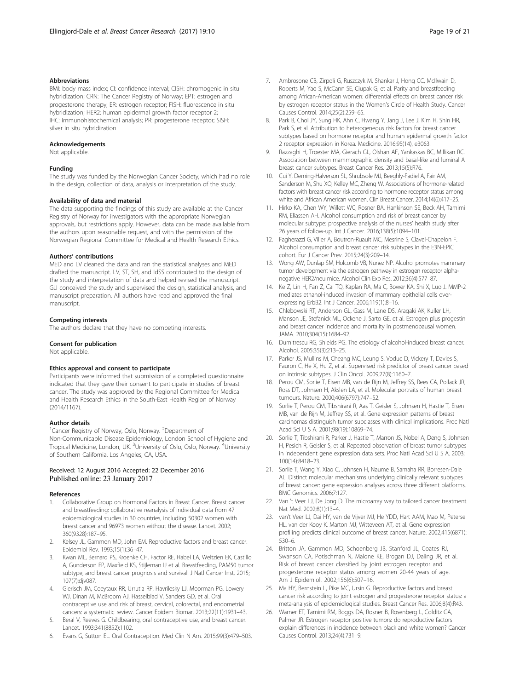#### <span id="page-18-0"></span>Abbreviations

BMI: body mass index; CI: confidence interval; CISH: chromogenic in situ hybridization; CRN: The Cancer Registry of Norway; EPT: estrogen and progesterone therapy; ER: estrogen receptor; FISH: fluorescence in situ hybridization; HER2: human epidermal growth factor receptor 2; IHC: immunohistochemical analysis; PR: progesterone receptor; SISH: silver in situ hybridization

#### Acknowledgements

Not applicable.

#### Funding

The study was funded by the Norwegian Cancer Society, which had no role in the design, collection of data, analysis or interpretation of the study.

#### Availability of data and material

The data supporting the findings of this study are available at the Cancer Registry of Norway for investigators with the appropriate Norwegian approvals, but restrictions apply. However, data can be made available from the authors upon reasonable request, and with the permission of the Norwegian Regional Committee for Medical and Health Research Ethics.

#### Authors' contributions

MED and LV cleaned the data and ran the statistical analyses and MED drafted the manuscript. LV, ST, SH, and IdSS contributed to the design of the study and interpretation of data and helped revised the manuscript. GU conceived the study and supervised the design, statistical analysis, and manuscript preparation. All authors have read and approved the final manuscript.

#### Competing interests

The authors declare that they have no competing interests.

#### Consent for publication

Not applicable.

#### Ethics approval and consent to participate

Participants were informed that submission of a completed questionnaire indicated that they gave their consent to participate in studies of breast cancer. The study was approved by the Regional Committee for Medical and Health Research Ethics in the South-East Health Region of Norway (2014/1167).

#### Author details

<sup>1</sup>Cancer Registry of Norway, Oslo, Norway. <sup>2</sup>Department of Non-Communicable Disease Epidemiology, London School of Hygiene and Tropical Medicine, London, UK. <sup>3</sup>University of Oslo, Oslo, Norway. <sup>4</sup>University of Southern California, Los Angeles, CA, USA.

#### Received: 12 August 2016 Accepted: 22 December 2016 Published online: 23 January 2017

#### References

- 1. Collaborative Group on Hormonal Factors in Breast Cancer. Breast cancer and breastfeeding: collaborative reanalysis of individual data from 47 epidemiological studies in 30 countries, including 50302 women with breast cancer and 96973 women without the disease. Lancet. 2002; 360(9328):187–95.
- 2. Kelsey JL, Gammon MD, John EM. Reproductive factors and breast cancer. Epidemiol Rev. 1993;15(1):36–47.
- 3. Kwan ML, Bernard PS, Kroenke CH, Factor RE, Habel LA, Weltzien EK, Castillo A, Gunderson EP, Maxfield KS, Stijleman IJ et al. Breastfeeding, PAM50 tumor subtype, and breast cancer prognosis and survival. J Natl Cancer Inst. 2015; 107(7):djv087.
- 4. Gierisch JM, Coeytaux RR, Urrutia RP, Havrilesky LJ, Moorman PG, Lowery WJ, Dinan M, McBroom AJ, Hasselblad V, Sanders GD, et al. Oral contraceptive use and risk of breast, cervical, colorectal, and endometrial cancers: a systematic review. Cancer Epidem Biomar. 2013;22(11):1931–43.
- Beral V, Reeves G. Childbearing, oral contraceptive use, and breast cancer. Lancet. 1993;341(8852):1102.
- 6. Evans G, Sutton EL. Oral Contraception. Med Clin N Am. 2015;99(3):479–503.
- 7. Ambrosone CB, Zirpoli G, Ruszczyk M, Shankar J, Hong CC, McIlwain D, Roberts M, Yao S, McCann SE, Ciupak G, et al. Parity and breastfeeding among African-American women: differential effects on breast cancer risk by estrogen receptor status in the Women's Circle of Health Study. Cancer Causes Control. 2014;25(2):259–65.
- 8. Park B, Choi JY, Sung HK, Ahn C, Hwang Y, Jang J, Lee J, Kim H, Shin HR, Park S, et al. Attribution to heterogeneous risk factors for breast cancer subtypes based on hormone receptor and human epidermal growth factor 2 receptor expression in Korea. Medicine. 2016;95(14), e3063.
- 9. Razzaghi H, Troester MA, Gierach GL, Olshan AF, Yankaskas BC, Millikan RC. Association between mammographic density and basal-like and luminal A breast cancer subtypes. Breast Cancer Res. 2013;15(5):R76.
- 10. Cui Y, Deming-Halverson SL, Shrubsole MJ, Beeghly-Fadiel A, Fair AM, Sanderson M, Shu XO, Kelley MC, Zheng W. Associations of hormone-related factors with breast cancer risk according to hormone receptor status among white and African American women. Clin Breast Cancer. 2014;14(6):417–25.
- 11. Hirko KA, Chen WY, Willett WC, Rosner BA, Hankinson SE, Beck AH, Tamimi RM, Eliassen AH. Alcohol consumption and risk of breast cancer by molecular subtype: prospective analysis of the nurses' health study after 26 years of follow-up. Int J Cancer. 2016;138(5):1094–101.
- 12. Fagherazzi G, Vilier A, Boutron-Ruault MC, Mesrine S, Clavel-Chapelon F. Alcohol consumption and breast cancer risk subtypes in the E3N-EPIC cohort. Eur J Cancer Prev. 2015;24(3):209–14.
- 13. Wong AW, Dunlap SM, Holcomb VB, Nunez NP. Alcohol promotes mammary tumor development via the estrogen pathway in estrogen receptor alphanegative HER2/neu mice. Alcohol Clin Exp Res. 2012;36(4):577–87.
- 14. Ke Z, Lin H, Fan Z, Cai TQ, Kaplan RA, Ma C, Bower KA, Shi X, Luo J. MMP-2 mediates ethanol-induced invasion of mammary epithelial cells overexpressing ErbB2. Int J Cancer. 2006;119(1):8–16.
- 15. Chlebowski RT, Anderson GL, Gass M, Lane DS, Aragaki AK, Kuller LH, Manson JE, Stefanick ML, Ockene J, Sarto GE, et al. Estrogen plus progestin and breast cancer incidence and mortality in postmenopausal women. JAMA. 2010;304(15):1684–92.
- 16. Dumitrescu RG, Shields PG. The etiology of alcohol-induced breast cancer. Alcohol. 2005;35(3):213–25.
- 17. Parker JS, Mullins M, Cheang MC, Leung S, Voduc D, Vickery T, Davies S, Fauron C, He X, Hu Z, et al. Supervised risk predictor of breast cancer based on intrinsic subtypes. J Clin Oncol. 2009;27(8):1160–7.
- 18. Perou CM, Sorlie T, Eisen MB, van de Rijn M, Jeffrey SS, Rees CA, Pollack JR, Ross DT, Johnsen H, Akslen LA, et al. Molecular portraits of human breast tumours. Nature. 2000;406(6797):747–52.
- 19. Sorlie T, Perou CM, Tibshirani R, Aas T, Geisler S, Johnsen H, Hastie T, Eisen MB, van de Rijn M, Jeffrey SS, et al. Gene expression patterns of breast carcinomas distinguish tumor subclasses with clinical implications. Proc Natl Acad Sci U S A. 2001;98(19):10869–74.
- 20. Sorlie T, Tibshirani R, Parker J, Hastie T, Marron JS, Nobel A, Deng S, Johnsen H, Pesich R, Geisler S, et al. Repeated observation of breast tumor subtypes in independent gene expression data sets. Proc Natl Acad Sci U S A. 2003; 100(14):8418–23.
- 21. Sorlie T, Wang Y, Xiao C, Johnsen H, Naume B, Samaha RR, Borresen-Dale AL. Distinct molecular mechanisms underlying clinically relevant subtypes of breast cancer: gene expression analyses across three different platforms. BMC Genomics. 2006;7:127.
- 22. Van 't Veer LJ, De Jong D. The microarray way to tailored cancer treatment. Nat Med. 2002;8(1):13–4.
- 23. van't Veer LJ, Dai HY, van de Vijver MJ, He YDD, Hart AAM, Mao M, Peterse HL, van der Kooy K, Marton MJ, Witteveen AT, et al. Gene expression profiling predicts clinical outcome of breast cancer. Nature. 2002;415(6871): 530–6.
- 24. Britton JA, Gammon MD, Schoenberg JB, Stanford JL, Coates RJ, Swanson CA, Potischman N, Malone KE, Brogan DJ, Daling JR, et al. Risk of breast cancer classified by joint estrogen receptor and progesterone receptor status among women 20-44 years of age. Am J Epidemiol. 2002;156(6):507–16.
- 25. Ma HY, Bernstein L, Pike MC, Ursin G. Reproductive factors and breast cancer risk according to joint estrogen and progesterone receptor status: a meta-analysis of epidemiological studies. Breast Cancer Res. 2006;8(4):R43.
- 26. Warner ET, Tamimi RM, Boggs DA, Rosner B, Rosenberg L, Colditz GA, Palmer JR. Estrogen receptor positive tumors: do reproductive factors explain differences in incidence between black and white women? Cancer Causes Control. 2013;24(4):731–9.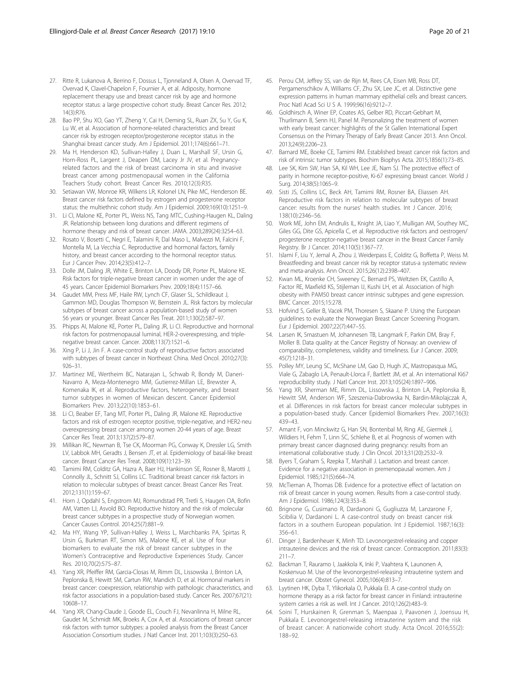- <span id="page-19-0"></span>27. Ritte R, Lukanova A, Berrino F, Dossus L, Tjonneland A, Olsen A, Overvad TF, Overvad K, Clavel-Chapelon F, Fournier A, et al. Adiposity, hormone replacement therapy use and breast cancer risk by age and hormone receptor status: a large prospective cohort study. Breast Cancer Res. 2012; 14(3):R76.
- 28. Bao PP, Shu XO, Gao YT, Zheng Y, Cai H, Deming SL, Ruan ZX, Su Y, Gu K, Lu W, et al. Association of hormone-related characteristics and breast cancer risk by estrogen receptor/progesterone receptor status in the Shanghai breast cancer study. Am J Epidemiol. 2011;174(6):661–71.
- 29. Ma H, Henderson KD, Sullivan-Halley J, Duan L, Marshall SF, Ursin G, Horn-Ross PL, Largent J, Deapen DM, Lacey Jr JV, et al. Pregnancyrelated factors and the risk of breast carcinoma in situ and invasive breast cancer among postmenopausal women in the California Teachers Study cohort. Breast Cancer Res. 2010;12(3):R35.
- 30. Setiawan VW, Monroe KR, Wilkens LR, Kolonel LN, Pike MC, Henderson BE. Breast cancer risk factors defined by estrogen and progesterone receptor status: the multiethnic cohort study. Am J Epidemiol. 2009;169(10):1251–9.
- 31. Li CI, Malone KE, Porter PL, Weiss NS, Tang MTC, Cushing-Haugen KL, Daling JR. Relationship between long durations and different regimens of hormone therapy and risk of breast cancer. JAMA. 2003;289(24):3254–63.
- 32. Rosato V, Bosetti C, Negri E, Talamini R, Dal Maso L, Malvezzi M, Falcini F, Montella M, La Vecchia C. Reproductive and hormonal factors, family history, and breast cancer according to the hormonal receptor status. Eur J Cancer Prev. 2014;23(5):412–7.
- 33. Dolle JM, Daling JR, White E, Brinton LA, Doody DR, Porter PL, Malone KE. Risk factors for triple-negative breast cancer in women under the age of 45 years. Cancer Epidemiol Biomarkers Prev. 2009;18(4):1157–66.
- 34. Gaudet MM, Press MF, Haile RW, Lynch CF, Glaser SL, Schildkraut J, Gammon MD, Douglas Thompson W, Bernstein JL. Risk factors by molecular subtypes of breast cancer across a population-based study of women 56 years or younger. Breast Cancer Res Treat. 2011;130(2):587–97.
- 35. Phipps AI, Malone KE, Porter PL, Daling JR, Li CI. Reproductive and hormonal risk factors for postmenopausal luminal, HER-2-overexpressing, and triplenegative breast cancer. Cancer. 2008;113(7):1521–6.
- 36. Xing P, Li J, Jin F. A case-control study of reproductive factors associated with subtypes of breast cancer in Northeast China. Med Oncol. 2010;27(3): 926–31.
- 37. Martinez ME, Wertheim BC, Natarajan L, Schwab R, Bondy M, Daneri-Navarro A, Meza-Montenegro MM, Gutierrez-Millan LE, Brewster A, Komenaka IK, et al. Reproductive factors, heterogeneity, and breast tumor subtypes in women of Mexican descent. Cancer Epidemiol Biomarkers Prev. 2013;22(10):1853–61.
- 38. Li CI, Beaber EF, Tang MT, Porter PL, Daling JR, Malone KE. Reproductive factors and risk of estrogen receptor positive, triple-negative, and HER2-neu overexpressing breast cancer among women 20-44 years of age. Breast Cancer Res Treat. 2013;137(2):579–87.
- 39. Millikan RC, Newman B, Tse CK, Moorman PG, Conway K, Dressler LG, Smith LV, Labbok MH, Geradts J, Bensen JT, et al. Epidemiology of basal-like breast cancer. Breast Cancer Res Treat. 2008;109(1):123–39.
- 40. Tamimi RM, Colditz GA, Hazra A, Baer HJ, Hankinson SE, Rosner B, Marotti J, Connolly JL, Schnitt SJ, Collins LC. Traditional breast cancer risk factors in relation to molecular subtypes of breast cancer. Breast Cancer Res Treat. 2012;131(1):159–67.
- 41. Horn J, Opdahl S, Engstrom MJ, Romundstad PR, Tretli S, Haugen OA, Bofin AM, Vatten LJ, Asvold BO. Reproductive history and the risk of molecular breast cancer subtypes in a prospective study of Norwegian women. Cancer Causes Control. 2014;25(7):881–9.
- 42. Ma HY, Wang YP, Sullivan-Halley J, Weiss L, Marchbanks PA, Spirtas R, Ursin G, Burkman RT, Simon MS, Malone KE, et al. Use of four biomarkers to evaluate the risk of breast cancer subtypes in the Women's Contraceptive and Reproductive Experiences Study. Cancer Res. 2010;70(2):575–87.
- 43. Yang XR, Pfeiffer RM, Garcia-Closas M, Rimm DL, Lissowska J, Brinton LA, Peplonska B, Hewitt SM, Cartun RW, Mandich D, et al. Hormonal markers in breast cancer: coexpression, relationship with pathologic characteristics, and risk factor associations in a population-based study. Cancer Res. 2007;67(21): 10608–17.
- 44. Yang XR, Chang-Claude J, Goode EL, Couch FJ, Nevanlinna H, Milne RL, Gaudet M, Schmidt MK, Broeks A, Cox A, et al. Associations of breast cancer risk factors with tumor subtypes: a pooled analysis from the Breast Cancer Association Consortium studies. J Natl Cancer Inst. 2011;103(3):250–63.
- 45. Perou CM, Jeffrey SS, van de Rijn M, Rees CA, Eisen MB, Ross DT, Pergamenschikov A, Williams CF, Zhu SX, Lee JC, et al. Distinctive gene expression patterns in human mammary epithelial cells and breast cancers. Proc Natl Acad Sci U S A. 1999;96(16):9212–7.
- 46. Goldhirsch A, Winer EP, Coates AS, Gelber RD, Piccart-Gebhart M, Thurlimann B, Senn HJ, Panel M. Personalizing the treatment of women with early breast cancer: highlights of the St Gallen International Expert Consensus on the Primary Therapy of Early Breast Cancer 2013. Ann Oncol. 2013;24(9):2206–23.
- 47. Barnard ME, Boeke CE, Tamimi RM. Established breast cancer risk factors and risk of intrinsic tumor subtypes. Biochim Biophys Acta. 2015;1856(1):73–85.
- 48. Lee SK, Kim SW, Han SA, Kil WH, Lee JE, Nam SJ. The protective effect of parity in hormone receptor-positive, Ki-67 expressing breast cancer. World J Surg. 2014;38(5):1065–9.
- 49. Sisti JS, Collins LC, Beck AH, Tamimi RM, Rosner BA, Eliassen AH. Reproductive risk factors in relation to molecular subtypes of breast cancer: results from the nurses' health studies. Int J Cancer. 2016; 138(10):2346–56.
- 50. Work ME, John EM, Andrulis IL, Knight JA, Liao Y, Mulligan AM, Southey MC, Giles GG, Dite GS, Apicella C, et al. Reproductive risk factors and oestrogen/ progesterone receptor-negative breast cancer in the Breast Cancer Family Registry. Br J Cancer. 2014;110(5):1367–77.
- 51. Islami F, Liu Y, Jemal A, Zhou J, Weiderpass E, Colditz G, Boffetta P, Weiss M. Breastfeeding and breast cancer risk by receptor status-a systematic review and meta-analysis. Ann Oncol. 2015;26(12):2398–407.
- 52. Kwan ML, Kroenke CH, Sweeney C, Bernard PS, Weltzien EK, Castillo A, Factor RE, Maxfield KS, Stijleman IJ, Kushi LH, et al. Association of high obesity with PAM50 breast cancer intrinsic subtypes and gene expression. BMC Cancer. 2015;15:278.
- 53. Hofvind S, Geller B, Vacek PM, Thoresen S, Skaane P. Using the European guidelines to evaluate the Norwegian Breast Cancer Screening Program. Eur J Epidemiol. 2007;22(7):447–55.
- 54. Larsen IK, Smastuen M, Johannesen TB, Langmark F, Parkin DM, Bray F, Moller B. Data quality at the Cancer Registry of Norway: an overview of comparability, completeness, validity and timeliness. Eur J Cancer. 2009; 45(7):1218–31.
- 55. Polley MY, Leung SC, McShane LM, Gao D, Hugh JC, Mastropasqua MG, Viale G, Zabaglo LA, Penault-Llorca F, Bartlett JM, et al. An international Ki67 reproducibility study. J Natl Cancer Inst. 2013;105(24):1897–906.
- 56. Yang XR, Sherman ME, Rimm DL, Lissowska J, Brinton LA, Peplonska B, Hewitt SM, Anderson WF, Szeszenia-Dabrowska N, Bardin-Mikolajczak A, et al. Differences in risk factors for breast cancer molecular subtypes in a population-based study. Cancer Epidemiol Biomarkers Prev. 2007;16(3): 439–43.
- 57. Amant F, von Minckwitz G, Han SN, Bontenbal M, Ring AE, Giermek J, Wildiers H, Fehm T, Linn SC, Schlehe B, et al. Prognosis of women with primary breast cancer diagnosed during pregnancy: results from an international collaborative study. J Clin Oncol. 2013;31(20):2532–9.
- 58. Byers T, Graham S, Rzepka T, Marshall J. Lactation and breast cancer. Evidence for a negative association in premenopausal women. Am J Epidemiol. 1985;121(5):664–74.
- 59. McTiernan A, Thomas DB. Evidence for a protective effect of lactation on risk of breast cancer in young women. Results from a case-control study. Am J Epidemiol. 1986;124(3):353–8.
- 60. Brignone G, Cusimano R, Dardanoni G, Gugliuzza M, Lanzarone F, Scibilia V, Dardanoni L. A case-control study on breast cancer risk factors in a southern European population. Int J Epidemiol. 1987;16(3): 356–61.
- 61. Dinger J, Bardenheuer K, Minh TD. Levonorgestrel-releasing and copper intrauterine devices and the risk of breast cancer. Contraception. 2011;83(3): 211–7.
- 62. Backman T, Rauramo I, Jaakkola K, Inki P, Vaahtera K, Launonen A, Koskenvuo M. Use of the levonorgestrel-releasing intrauterine system and breast cancer. Obstet Gynecol. 2005;106(4):813–7.
- 63. Lyytinen HK, Dyba T, Ylikorkala O, Pukkala EI. A case-control study on hormone therapy as a risk factor for breast cancer in Finland: intrauterine system carries a risk as well. Int J Cancer. 2010;126(2):483–9.
- 64. Soini T, Hurskainen R, Grenman S, Maenpaa J, Paavonen J, Joensuu H, Pukkala E. Levonorgestrel-releasing intrauterine system and the risk of breast cancer: A nationwide cohort study. Acta Oncol. 2016;55(2): 188–92.